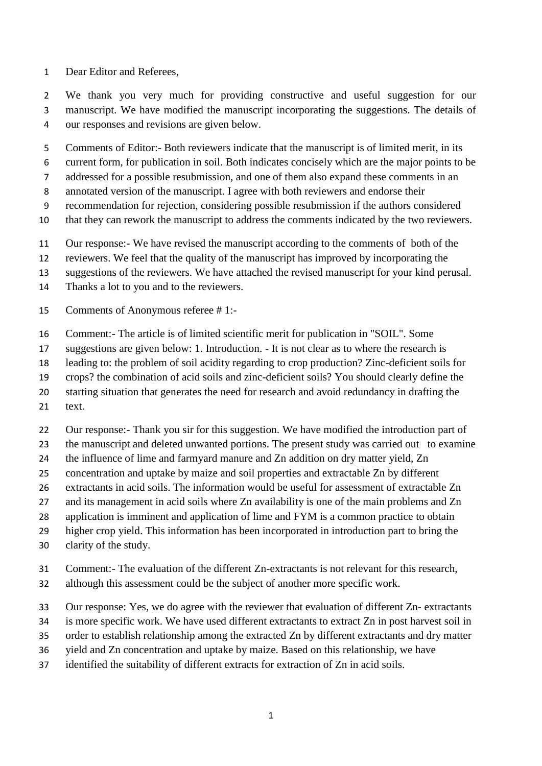Dear Editor and Referees,

 We thank you very much for providing constructive and useful suggestion for our manuscript. We have modified the manuscript incorporating the suggestions. The details of our responses and revisions are given below.

Comments of Editor:- Both reviewers indicate that the manuscript is of limited merit, in its

- current form, for publication in soil. Both indicates concisely which are the major points to be
- addressed for a possible resubmission, and one of them also expand these comments in an
- annotated version of the manuscript. I agree with both reviewers and endorse their
- recommendation for rejection, considering possible resubmission if the authors considered
- that they can rework the manuscript to address the comments indicated by the two reviewers.
- Our response:- We have revised the manuscript according to the comments of both of the
- reviewers. We feel that the quality of the manuscript has improved by incorporating the
- suggestions of the reviewers. We have attached the revised manuscript for your kind perusal.
- Thanks a lot to you and to the reviewers.
- Comments of Anonymous referee # 1:-
- Comment:- The article is of limited scientific merit for publication in "SOIL". Some
- suggestions are given below: 1. Introduction. It is not clear as to where the research is
- leading to: the problem of soil acidity regarding to crop production? Zinc-deficient soils for
- crops? the combination of acid soils and zinc-deficient soils? You should clearly define the
- starting situation that generates the need for research and avoid redundancy in drafting the
- 21 text.
- Our response:- Thank you sir for this suggestion. We have modified the introduction part of
- 23 the manuscript and deleted unwanted portions. The present study was carried out to examine
- the influence of lime and farmyard manure and Zn addition on dry matter yield, Zn
- concentration and uptake by maize and soil properties and extractable Zn by different
- extractants in acid soils. The information would be useful for assessment of extractable Zn
- 27 and its management in acid soils where Zn availability is one of the main problems and Zn
- application is imminent and application of lime and FYM is a common practice to obtain
- higher crop yield. This information has been incorporated in introduction part to bring the
- clarity of the study.
- Comment:- The evaluation of the different Zn-extractants is not relevant for this research,
- although this assessment could be the subject of another more specific work.
- Our response: Yes, we do agree with the reviewer that evaluation of different Zn- extractants
- is more specific work. We have used different extractants to extract Zn in post harvest soil in
- order to establish relationship among the extracted Zn by different extractants and dry matter
- yield and Zn concentration and uptake by maize. Based on this relationship, we have
- identified the suitability of different extracts for extraction of Zn in acid soils.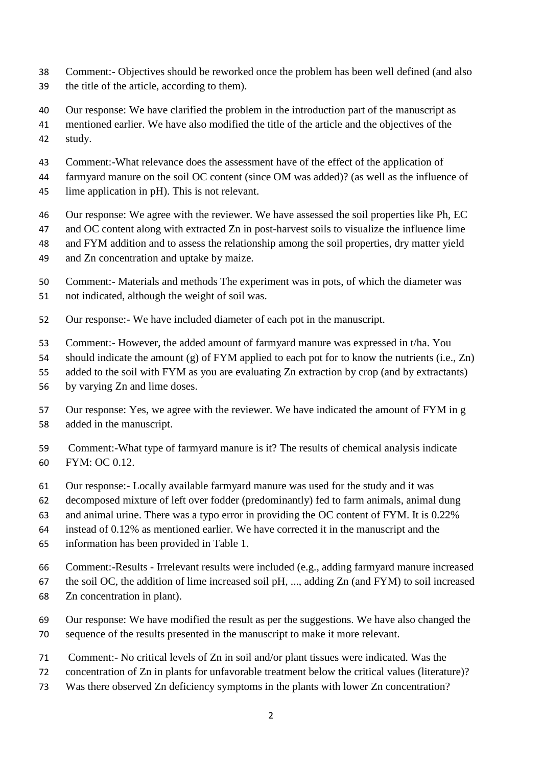- Comment:- Objectives should be reworked once the problem has been well defined (and also the title of the article, according to them).
- Our response: We have clarified the problem in the introduction part of the manuscript as
- mentioned earlier. We have also modified the title of the article and the objectives of the study.
- Comment:-What relevance does the assessment have of the effect of the application of
- farmyard manure on the soil OC content (since OM was added)? (as well as the influence of lime application in pH). This is not relevant.
- Our response: We agree with the reviewer. We have assessed the soil properties like Ph, EC
- and OC content along with extracted Zn in post-harvest soils to visualize the influence lime
- and FYM addition and to assess the relationship among the soil properties, dry matter yield
- and Zn concentration and uptake by maize.
- Comment:- Materials and methods The experiment was in pots, of which the diameter was not indicated, although the weight of soil was.
- Our response:- We have included diameter of each pot in the manuscript.
- Comment:- However, the added amount of farmyard manure was expressed in t/ha. You
- should indicate the amount (g) of FYM applied to each pot for to know the nutrients (i.e., Zn)
- added to the soil with FYM as you are evaluating Zn extraction by crop (and by extractants)
- by varying Zn and lime doses.
- Our response: Yes, we agree with the reviewer. We have indicated the amount of FYM in g added in the manuscript.
- Comment:-What type of farmyard manure is it? The results of chemical analysis indicate FYM: OC 0.12.
- Our response:- Locally available farmyard manure was used for the study and it was
- decomposed mixture of left over fodder (predominantly) fed to farm animals, animal dung
- and animal urine. There was a typo error in providing the OC content of FYM. It is 0.22%
- instead of 0.12% as mentioned earlier. We have corrected it in the manuscript and the
- information has been provided in Table 1.
- Comment:-Results Irrelevant results were included (e.g., adding farmyard manure increased
- the soil OC, the addition of lime increased soil pH, ..., adding Zn (and FYM) to soil increased
- Zn concentration in plant).
- Our response: We have modified the result as per the suggestions. We have also changed the sequence of the results presented in the manuscript to make it more relevant.
- Comment:- No critical levels of Zn in soil and/or plant tissues were indicated. Was the
- concentration of Zn in plants for unfavorable treatment below the critical values (literature)?
- Was there observed Zn deficiency symptoms in the plants with lower Zn concentration?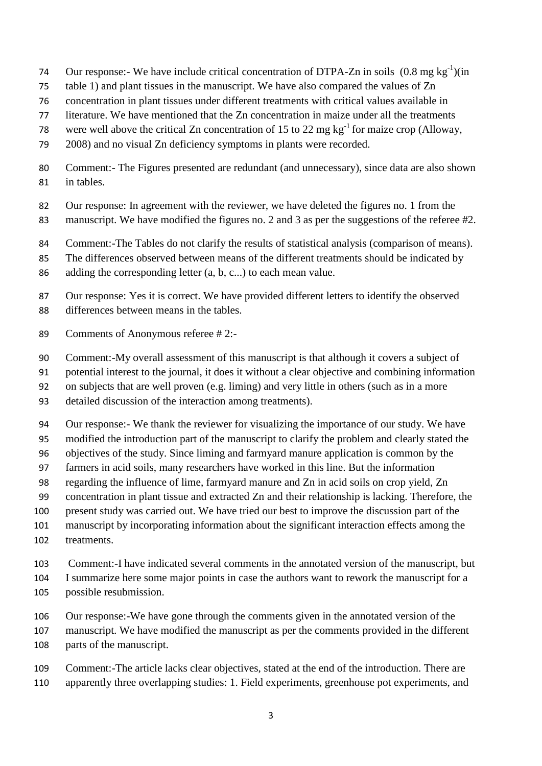- 74 Our response:- We have include critical concentration of DTPA-Zn in soils  $(0.8 \text{ mg kg}^{-1})(\text{in})$
- table 1) and plant tissues in the manuscript. We have also compared the values of Zn
- concentration in plant tissues under different treatments with critical values available in
- literature. We have mentioned that the Zn concentration in maize under all the treatments
- 78 were well above the critical Zn concentration of 15 to 22 mg  $kg^{-1}$  for maize crop (Alloway,
- 2008) and no visual Zn deficiency symptoms in plants were recorded.
- Comment:- The Figures presented are redundant (and unnecessary), since data are also shown in tables.
- Our response: In agreement with the reviewer, we have deleted the figures no. 1 from the
- manuscript. We have modified the figures no. 2 and 3 as per the suggestions of the referee #2.
- Comment:-The Tables do not clarify the results of statistical analysis (comparison of means).
- The differences observed between means of the different treatments should be indicated by
- adding the corresponding letter (a, b, c...) to each mean value.
- Our response: Yes it is correct. We have provided different letters to identify the observed differences between means in the tables.
- Comments of Anonymous referee # 2:-
- Comment:-My overall assessment of this manuscript is that although it covers a subject of
- potential interest to the journal, it does it without a clear objective and combining information
- on subjects that are well proven (e.g. liming) and very little in others (such as in a more
- detailed discussion of the interaction among treatments).
- Our response:- We thank the reviewer for visualizing the importance of our study. We have
- modified the introduction part of the manuscript to clarify the problem and clearly stated the
- objectives of the study. Since liming and farmyard manure application is common by the
- farmers in acid soils, many researchers have worked in this line. But the information
- regarding the influence of lime, farmyard manure and Zn in acid soils on crop yield, Zn
- concentration in plant tissue and extracted Zn and their relationship is lacking. Therefore, the
- present study was carried out. We have tried our best to improve the discussion part of the
- manuscript by incorporating information about the significant interaction effects among the
- treatments.
- Comment:-I have indicated several comments in the annotated version of the manuscript, but I summarize here some major points in case the authors want to rework the manuscript for a
- possible resubmission.
- Our response:-We have gone through the comments given in the annotated version of the
- manuscript. We have modified the manuscript as per the comments provided in the different
- parts of the manuscript.
- Comment:-The article lacks clear objectives, stated at the end of the introduction. There are apparently three overlapping studies: 1. Field experiments, greenhouse pot experiments, and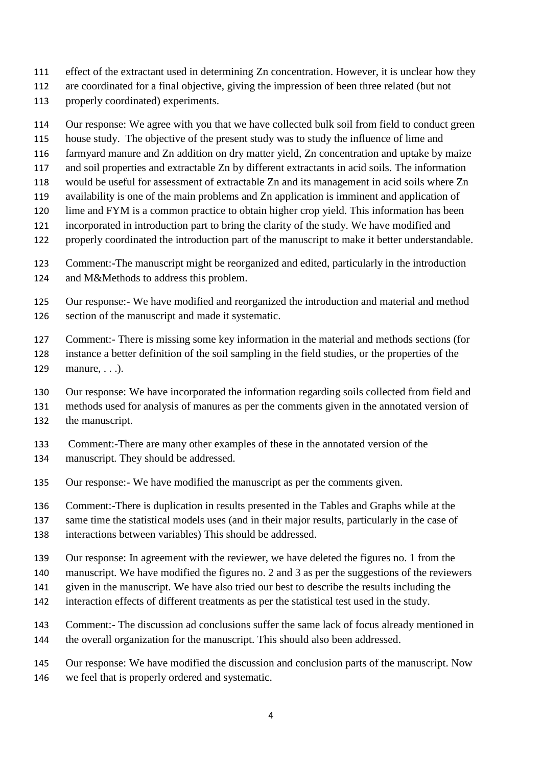- effect of the extractant used in determining Zn concentration. However, it is unclear how they
- are coordinated for a final objective, giving the impression of been three related (but not
- properly coordinated) experiments.
- Our response: We agree with you that we have collected bulk soil from field to conduct green
- house study. The objective of the present study was to study the influence of lime and
- farmyard manure and Zn addition on dry matter yield, Zn concentration and uptake by maize
- and soil properties and extractable Zn by different extractants in acid soils. The information
- would be useful for assessment of extractable Zn and its management in acid soils where Zn
- availability is one of the main problems and Zn application is imminent and application of
- lime and FYM is a common practice to obtain higher crop yield. This information has been
- incorporated in introduction part to bring the clarity of the study. We have modified and
- properly coordinated the introduction part of the manuscript to make it better understandable.
- Comment:-The manuscript might be reorganized and edited, particularly in the introduction
- and M&Methods to address this problem.
- Our response:- We have modified and reorganized the introduction and material and method section of the manuscript and made it systematic.
- Comment:- There is missing some key information in the material and methods sections (for instance a better definition of the soil sampling in the field studies, or the properties of the manure, . . .).
- Our response: We have incorporated the information regarding soils collected from field and
- methods used for analysis of manures as per the comments given in the annotated version of
- the manuscript.
- Comment:-There are many other examples of these in the annotated version of the
- manuscript. They should be addressed.
- Our response:- We have modified the manuscript as per the comments given.
- Comment:-There is duplication in results presented in the Tables and Graphs while at the
- same time the statistical models uses (and in their major results, particularly in the case of
- interactions between variables) This should be addressed.
- Our response: In agreement with the reviewer, we have deleted the figures no. 1 from the
- manuscript. We have modified the figures no. 2 and 3 as per the suggestions of the reviewers
- given in the manuscript. We have also tried our best to describe the results including the
- interaction effects of different treatments as per the statistical test used in the study.
- Comment:- The discussion ad conclusions suffer the same lack of focus already mentioned in the overall organization for the manuscript. This should also been addressed.
- Our response: We have modified the discussion and conclusion parts of the manuscript. Now we feel that is properly ordered and systematic.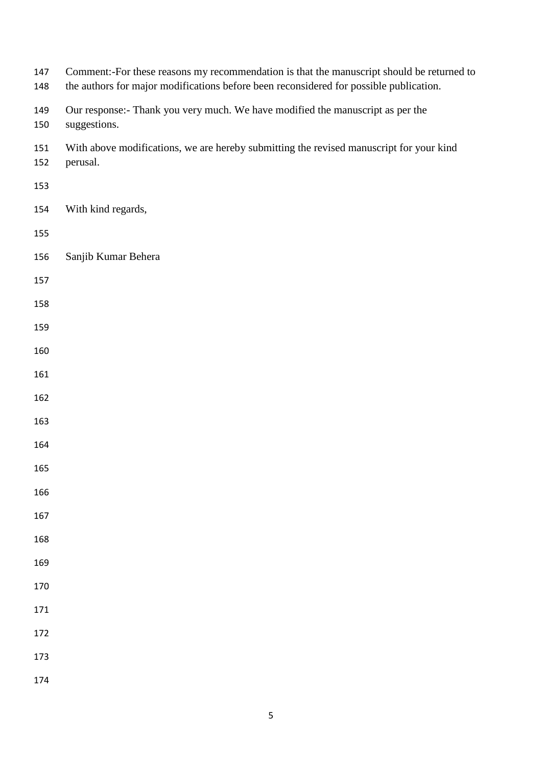| 147<br>148 | Comment:-For these reasons my recommendation is that the manuscript should be returned to<br>the authors for major modifications before been reconsidered for possible publication. |
|------------|-------------------------------------------------------------------------------------------------------------------------------------------------------------------------------------|
| 149<br>150 | Our response:- Thank you very much. We have modified the manuscript as per the<br>suggestions.                                                                                      |
| 151<br>152 | With above modifications, we are hereby submitting the revised manuscript for your kind<br>perusal.                                                                                 |
| 153        |                                                                                                                                                                                     |
| 154        | With kind regards,                                                                                                                                                                  |
| 155        |                                                                                                                                                                                     |
| 156        | Sanjib Kumar Behera                                                                                                                                                                 |
| 157        |                                                                                                                                                                                     |
| 158        |                                                                                                                                                                                     |
| 159        |                                                                                                                                                                                     |
| 160        |                                                                                                                                                                                     |
| 161        |                                                                                                                                                                                     |
| 162        |                                                                                                                                                                                     |
| 163        |                                                                                                                                                                                     |
| 164        |                                                                                                                                                                                     |
| 165        |                                                                                                                                                                                     |
| 166        |                                                                                                                                                                                     |
| 167        |                                                                                                                                                                                     |
| 168        |                                                                                                                                                                                     |
| 169        |                                                                                                                                                                                     |
| 170        |                                                                                                                                                                                     |
| 171        |                                                                                                                                                                                     |
| 172        |                                                                                                                                                                                     |
| 173        |                                                                                                                                                                                     |
| 174        |                                                                                                                                                                                     |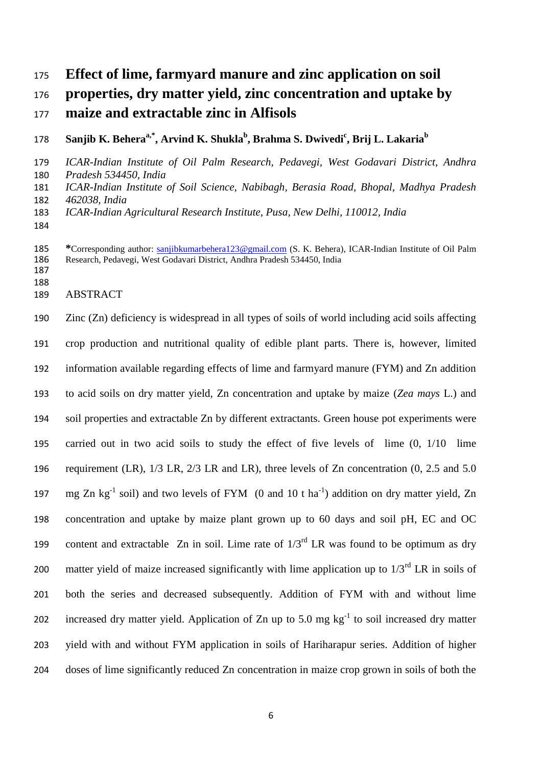# **Effect of lime, farmyard manure and zinc application on soil properties, dry matter yield, zinc concentration and uptake by maize and extractable zinc in Alfisols**

**Sanjib K. Beheraa,\* , Arvind K. Shukla<sup>b</sup> , Brahma S. Dwivedi<sup>c</sup> , Brij L. Lakaria<sup>b</sup>** 

 *ICAR-Indian Institute of Oil Palm Research, Pedavegi, West Godavari District, Andhra Pradesh 534450, India*

 *ICAR-Indian Institute of Soil Science, Nabibagh, Berasia Road, Bhopal, Madhya Pradesh 462038, India*

*ICAR-Indian Agricultural Research Institute, Pusa, New Delhi, 110012, India*

 **\***Corresponding author: [sanjibkumarbehera123@gmail.com](mailto:sanjibkumarbehera123@gmail.com) (S. K. Behera), ICAR-Indian Institute of Oil Palm Research, Pedavegi, West Godavari District, Andhra Pradesh 534450, India 

ABSTRACT

 Zinc (Zn) deficiency is widespread in all types of soils of world including acid soils affecting crop production and nutritional quality of edible plant parts. There is, however, limited information available regarding effects of lime and farmyard manure (FYM) and Zn addition to acid soils on dry matter yield, Zn concentration and uptake by maize (*Zea mays* L.) and soil properties and extractable Zn by different extractants. Green house pot experiments were carried out in two acid soils to study the effect of five levels of lime (0, 1/10 lime 196 requirement (LR),  $1/3$  LR,  $2/3$  LR and LR), three levels of Zn concentration (0, 2.5 and 5.0 197 mg Zn kg<sup>-1</sup> soil) and two levels of FYM (0 and 10 t ha<sup>-1</sup>) addition on dry matter yield, Zn concentration and uptake by maize plant grown up to 60 days and soil pH, EC and OC 199 content and extractable Zn in soil. Lime rate of  $1/3<sup>rd</sup>$  LR was found to be optimum as dry 200 matter yield of maize increased significantly with lime application up to  $1/3<sup>rd</sup>$  LR in soils of both the series and decreased subsequently. Addition of FYM with and without lime 202 increased dry matter yield. Application of Zn up to 5.0 mg  $\text{kg}^{-1}$  to soil increased dry matter yield with and without FYM application in soils of Hariharapur series. Addition of higher doses of lime significantly reduced Zn concentration in maize crop grown in soils of both the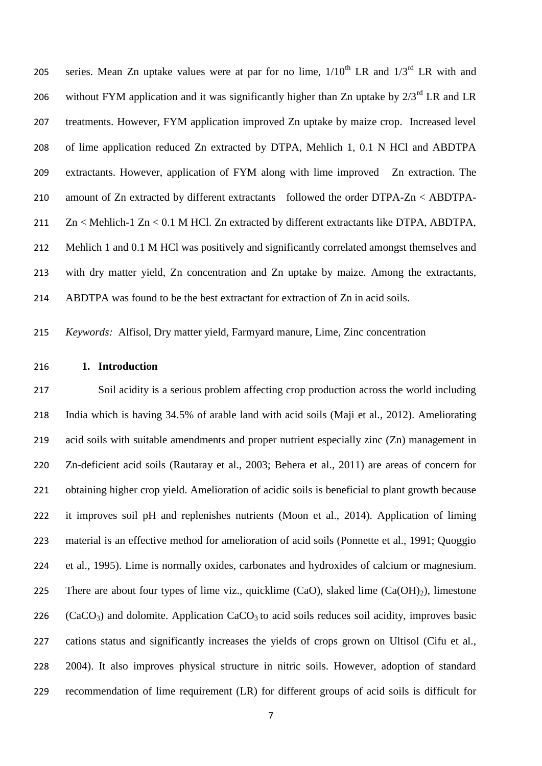205 series. Mean Zn uptake values were at par for no lime,  $1/10^{th}$  LR and  $1/3^{rd}$  LR with and 206 without FYM application and it was significantly higher than Zn uptake by  $2/3^{rd}$  LR and LR treatments. However, FYM application improved Zn uptake by maize crop. Increased level of lime application reduced Zn extracted by DTPA, Mehlich 1, 0.1 N HCl and ABDTPA extractants. However, application of FYM along with lime improved Zn extraction. The amount of Zn extracted by different extractants followed the order DTPA-Zn < ABDTPA- Zn < Mehlich-1 Zn < 0.1 M HCl. Zn extracted by different extractants like DTPA, ABDTPA, 212 Mehlich 1 and 0.1 M HCl was positively and significantly correlated amongst themselves and with dry matter yield, Zn concentration and Zn uptake by maize. Among the extractants, ABDTPA was found to be the best extractant for extraction of Zn in acid soils.

*Keywords:* Alfisol, Dry matter yield, Farmyard manure, Lime, Zinc concentration

## **1. Introduction**

 Soil acidity is a serious problem affecting crop production across the world including India which is having 34.5% of arable land with acid soils (Maji et al., 2012). Ameliorating acid soils with suitable amendments and proper nutrient especially zinc (Zn) management in Zn-deficient acid soils (Rautaray et al., 2003; Behera et al., 2011) are areas of concern for obtaining higher crop yield. Amelioration of acidic soils is beneficial to plant growth because it improves soil pH and replenishes nutrients (Moon et al., 2014). Application of liming material is an effective method for amelioration of acid soils (Ponnette et al., 1991; Quoggio et al., 1995). Lime is normally oxides, carbonates and hydroxides of calcium or magnesium. 225 There are about four types of lime viz., quicklime  $(CaO)$ , slaked lime  $(Ca(OH)<sub>2</sub>)$ , limestone 226 (CaCO<sub>3</sub>) and dolomite. Application CaCO<sub>3</sub> to acid soils reduces soil acidity, improves basic cations status and significantly increases the yields of crops grown on Ultisol (Cifu et al., 2004). It also improves physical structure in nitric soils. However, adoption of standard recommendation of lime requirement (LR) for different groups of acid soils is difficult for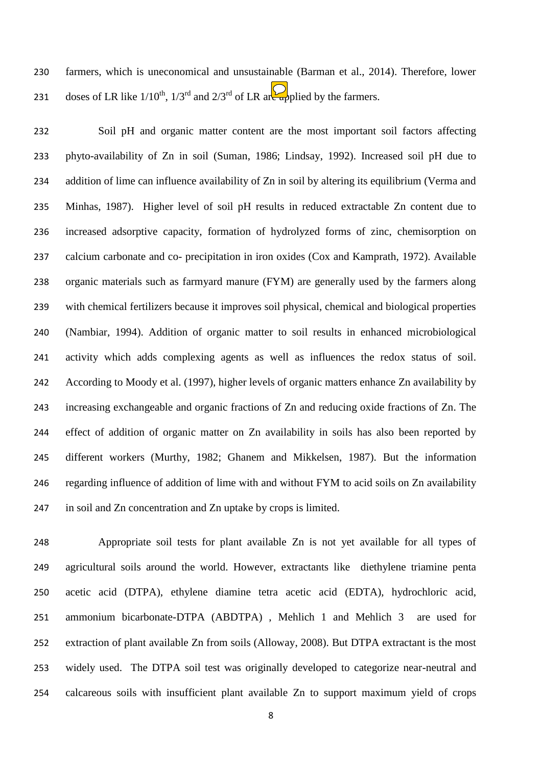farmers, which is uneconomical and unsustainable (Barman et al., 2014). Therefore, lower 231 doses of LR like  $1/10^{th}$ ,  $1/3^{rd}$  and  $2/3^{rd}$  of LR are applied by the farmers.

 Soil pH and organic matter content are the most important soil factors affecting phyto-availability of Zn in soil (Suman, 1986; Lindsay, 1992). Increased soil pH due to addition of lime can influence availability of Zn in soil by altering its equilibrium (Verma and Minhas, 1987). Higher level of soil pH results in reduced extractable Zn content due to increased adsorptive capacity, formation of hydrolyzed forms of zinc, chemisorption on calcium carbonate and co- precipitation in iron oxides (Cox and Kamprath, 1972). Available organic materials such as farmyard manure (FYM) are generally used by the farmers along with chemical fertilizers because it improves soil physical, chemical and biological properties (Nambiar, 1994). Addition of organic matter to soil results in enhanced microbiological activity which adds complexing agents as well as influences the redox status of soil. According to Moody et al. (1997), higher levels of organic matters enhance Zn availability by increasing exchangeable and organic fractions of Zn and reducing oxide fractions of Zn. The effect of addition of organic matter on Zn availability in soils has also been reported by different workers (Murthy, 1982; Ghanem and Mikkelsen, 1987). But the information regarding influence of addition of lime with and without FYM to acid soils on Zn availability in soil and Zn concentration and Zn uptake by crops is limited.

 Appropriate soil tests for plant available Zn is not yet available for all types of agricultural soils around the world. However, extractants like diethylene triamine penta acetic acid (DTPA), ethylene diamine tetra acetic acid (EDTA), hydrochloric acid, ammonium bicarbonate-DTPA (ABDTPA) , Mehlich 1 and Mehlich 3 are used for extraction of plant available Zn from soils (Alloway, 2008). But DTPA extractant is the most widely used. The DTPA soil test was originally developed to categorize near-neutral and calcareous soils with insufficient plant available Zn to support maximum yield of crops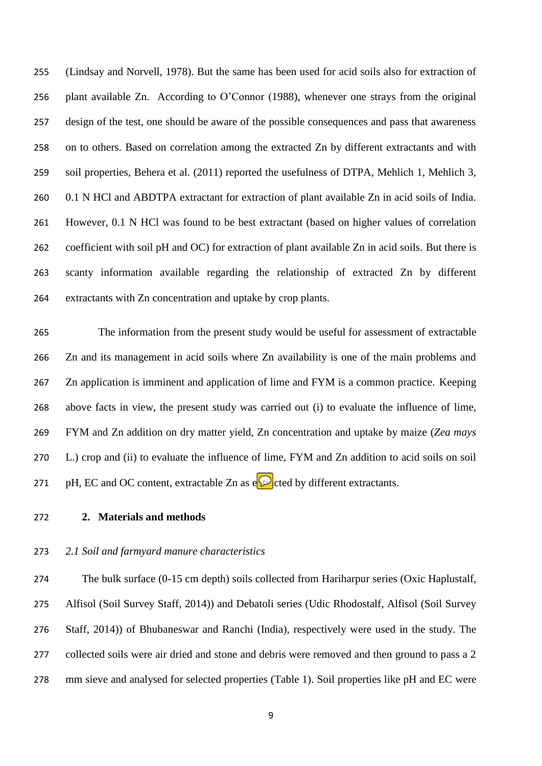(Lindsay and Norvell, 1978). But the same has been used for acid soils also for extraction of plant available Zn. According to O'Connor (1988), whenever one strays from the original design of the test, one should be aware of the possible consequences and pass that awareness on to others. Based on correlation among the extracted Zn by different extractants and with soil properties, Behera et al. (2011) reported the usefulness of DTPA, Mehlich 1, Mehlich 3, 0.1 N HCl and ABDTPA extractant for extraction of plant available Zn in acid soils of India. However, 0.1 N HCl was found to be best extractant (based on higher values of correlation coefficient with soil pH and OC) for extraction of plant available Zn in acid soils. But there is scanty information available regarding the relationship of extracted Zn by different extractants with Zn concentration and uptake by crop plants.

 The information from the present study would be useful for assessment of extractable Zn and its management in acid soils where Zn availability is one of the main problems and Zn application is imminent and application of lime and FYM is a common practice. Keeping above facts in view, the present study was carried out (i) to evaluate the influence of lime, FYM and Zn addition on dry matter yield, Zn concentration and uptake by maize (*Zea mays* L.) crop and (ii) to evaluate the influence of lime, FYM and Zn addition to acid soils on soil 271 pH, EC and OC content, extractable Zn as  $e^{\mathcal{D}}$  cted by different extractants.

# **2. Materials and methods**

## *2.1 Soil and farmyard manure characteristics*

 The bulk surface (0-15 cm depth) soils collected from Hariharpur series (Oxic Haplustalf, Alfisol (Soil Survey Staff, 2014)) and Debatoli series (Udic Rhodostalf, Alfisol (Soil Survey Staff, 2014)) of Bhubaneswar and Ranchi (India), respectively were used in the study. The 277 collected soils were air dried and stone and debris were removed and then ground to pass a 2 mm sieve and analysed for selected properties (Table 1). Soil properties like pH and EC were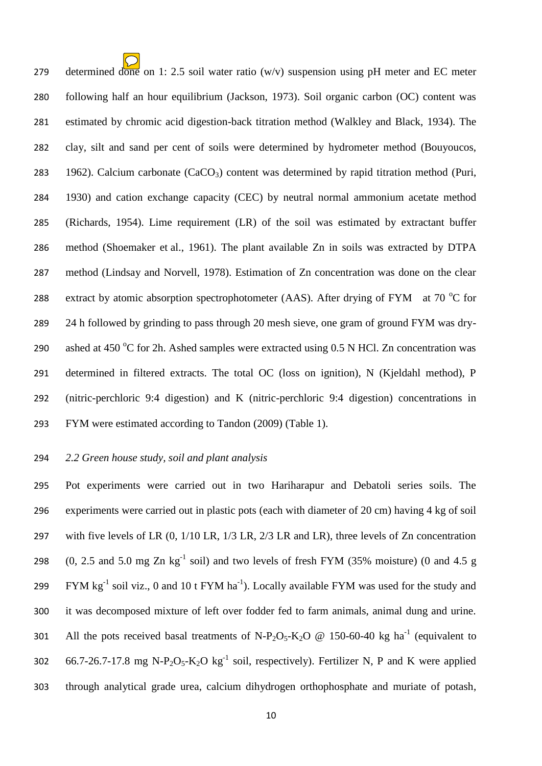279 determined done on 1: 2.5 soil water ratio (w/v) suspension using pH meter and EC meter following half an hour equilibrium (Jackson, 1973). Soil organic carbon (OC) content was estimated by chromic acid digestion-back titration method (Walkley and Black, 1934). The clay, silt and sand per cent of soils were determined by hydrometer method (Bouyoucos, 283 1962). Calcium carbonate  $(CaCO<sub>3</sub>)$  content was determined by rapid titration method (Puri, 1930) and cation exchange capacity (CEC) by neutral normal ammonium acetate method (Richards, 1954). Lime requirement (LR) of the soil was estimated by extractant buffer method (Shoemaker et al., [1961\)](http://www.tandfonline.com/doi/full/10.1080/01904167.2013.859698#CIT0030). The plant available Zn in soils was extracted by DTPA method (Lindsay and Norvell, 1978). Estimation of Zn concentration was done on the clear 288 extract by atomic absorption spectrophotometer (AAS). After drying of FYM at 70  $^{\circ}$ C for 24 h followed by grinding to pass through 20 mesh sieve, one gram of ground FYM was dry-290 ashed at 450 °C for 2h. Ashed samples were extracted using 0.5 N HCl. Zn concentration was determined in filtered extracts. The total OC (loss on ignition), N (Kjeldahl method), P (nitric-perchloric 9:4 digestion) and K (nitric-perchloric 9:4 digestion) concentrations in FYM were estimated according to Tandon (2009) (Table 1).

# *2.2 Green house study, soil and plant analysis*

 Pot experiments were carried out in two Hariharapur and Debatoli series soils. The experiments were carried out in plastic pots (each with diameter of 20 cm) having 4 kg of soil with five levels of LR (0, 1/10 LR, 1/3 LR, 2/3 LR and LR), three levels of Zn concentration 298 (0, 2.5 and 5.0 mg Zn  $kg^{-1}$  soil) and two levels of fresh FYM (35% moisture) (0 and 4.5 g 299 FYM  $\text{kg}^{-1}$  soil viz., 0 and 10 t FYM  $\text{ha}^{-1}$ ). Locally available FYM was used for the study and it was decomposed mixture of left over fodder fed to farm animals, animal dung and urine. 301 All the pots received basal treatments of N-P<sub>2</sub>O<sub>5</sub>-K<sub>2</sub>O @ 150-60-40 kg ha<sup>-1</sup> (equivalent to 302 66.7-26.7-17.8 mg N-P<sub>2</sub>O<sub>5</sub>-K<sub>2</sub>O kg<sup>-1</sup> soil, respectively). Fertilizer N, P and K were applied through analytical grade urea, calcium dihydrogen orthophosphate and muriate of potash,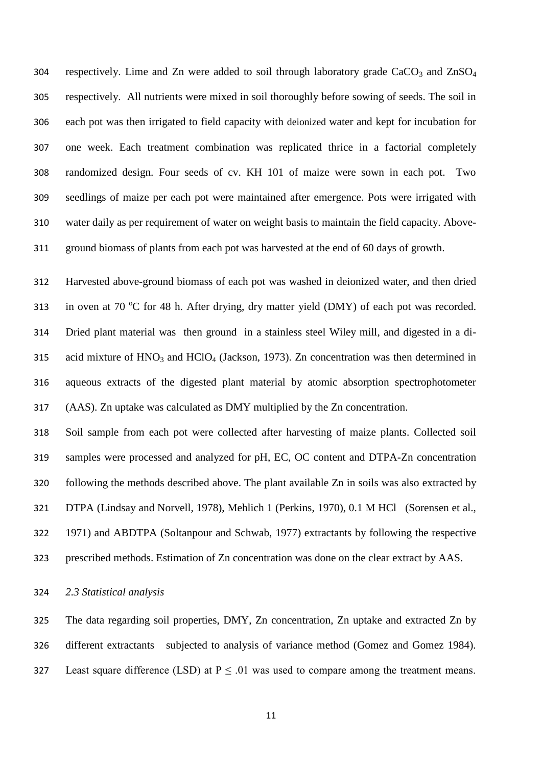304 respectively. Lime and Zn were added to soil through laboratory grade  $CaCO<sub>3</sub>$  and  $ZnSO<sub>4</sub>$  respectively. All nutrients were mixed in soil thoroughly before sowing of seeds. The soil in each pot was then irrigated to field capacity with deionized water and kept for incubation for one week. Each treatment combination was replicated thrice in a factorial completely randomized design. Four seeds of cv. KH 101 of maize were sown in each pot. Two seedlings of maize per each pot were maintained after emergence. Pots were irrigated with water daily as per requirement of water on weight basis to maintain the field capacity. Above-ground biomass of plants from each pot was harvested at the end of 60 days of growth.

 Harvested above-ground biomass of each pot was washed in deionized water, and then dried 313 in oven at 70 °C for 48 h. After drying, dry matter yield (DMY) of each pot was recorded. Dried plant material was then ground in a stainless steel Wiley mill, and digested in a di-315 acid mixture of  $HNO<sub>3</sub>$  and  $HClO<sub>4</sub>$  (Jackson, 1973). Zn concentration was then determined in aqueous extracts of the digested plant material by atomic absorption spectrophotometer (AAS). Zn uptake was calculated as DMY multiplied by the Zn concentration.

 Soil sample from each pot were collected after harvesting of maize plants. Collected soil samples were processed and analyzed for pH, EC, OC content and DTPA-Zn concentration following the methods described above. The plant available Zn in soils was also extracted by DTPA (Lindsay and Norvell, 1978), Mehlich 1 (Perkins, 1970), 0.1 M HCl (Sorensen et al., 1971) and ABDTPA (Soltanpour and Schwab, 1977) extractants by following the respective prescribed methods. Estimation of Zn concentration was done on the clear extract by AAS.

## *2.3 Statistical analysis*

 The data regarding soil properties, DMY, Zn concentration, Zn uptake and extracted Zn by different extractants subjected to analysis of variance method (Gomez and Gomez 1984). 327 Least square difference (LSD) at  $P \le 0.01$  was used to compare among the treatment means.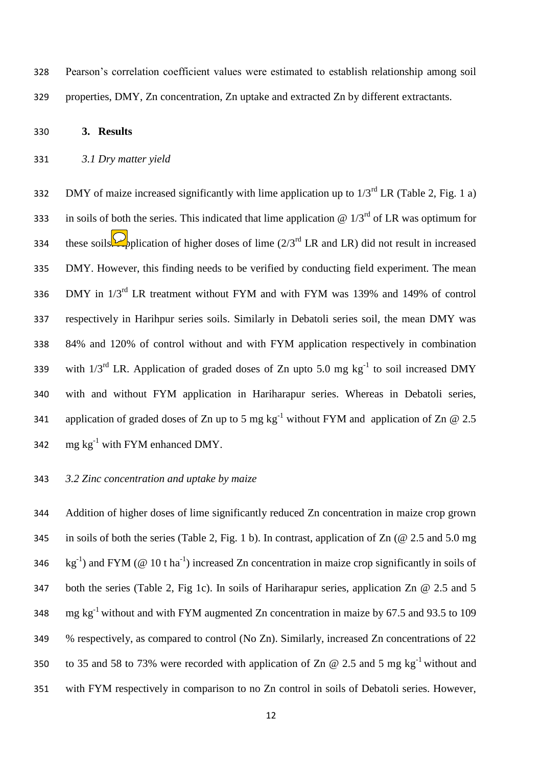328 Pearson's correlation coefficient values were estimated to establish relationship among soil 329 properties, DMY, Zn concentration, Zn uptake and extracted Zn by different extractants.

## 330 **3. Results**

## 331 *3.1 Dry matter yield*

332 DMY of maize increased significantly with lime application up to  $1/3^{rd}$  LR (Table 2, Fig. 1 a) 333 in soils of both the series. This indicated that lime application  $\omega$  1/3<sup>rd</sup> of LR was optimum for these soils. Application of higher doses of lime  $(2/3^{rd}$  LR and LR) did not result in increased 335 DMY. However, this finding needs to be verified by conducting field experiment. The mean 336 DMY in  $1/3^{rd}$  LR treatment without FYM and with FYM was 139% and 149% of control 337 respectively in Harihpur series soils. Similarly in Debatoli series soil, the mean DMY was 338 84% and 120% of control without and with FYM application respectively in combination 339 with  $1/3^{rd}$  LR. Application of graded doses of Zn upto 5.0 mg  $kg^{-1}$  to soil increased DMY 340 with and without FYM application in Hariharapur series. Whereas in Debatoli series, 341 application of graded doses of Zn up to 5 mg  $kg^{-1}$  without FYM and application of Zn @ 2.5 342 mg  $kg^{-1}$  with FYM enhanced DMY.

# 343 *3.2 Zinc concentration and uptake by maize*

 Addition of higher doses of lime significantly reduced Zn concentration in maize crop grown in soils of both the series (Table 2, Fig. 1 b). In contrast, application of Zn (@ 2.5 and 5.0 mg  $\text{kg}^{-1}$ ) and FYM (@ 10 t ha<sup>-1</sup>) increased Zn concentration in maize crop significantly in soils of both the series (Table 2, Fig 1c). In soils of Hariharapur series, application Zn @ 2.5 and 5 348 mg kg<sup>-1</sup> without and with FYM augmented Zn concentration in maize by 67.5 and 93.5 to 109 % respectively, as compared to control (No Zn). Similarly, increased Zn concentrations of 22 to 35 and 58 to 73% were recorded with application of Zn  $\omega$  2.5 and 5 mg kg<sup>-1</sup> without and with FYM respectively in comparison to no Zn control in soils of Debatoli series. However,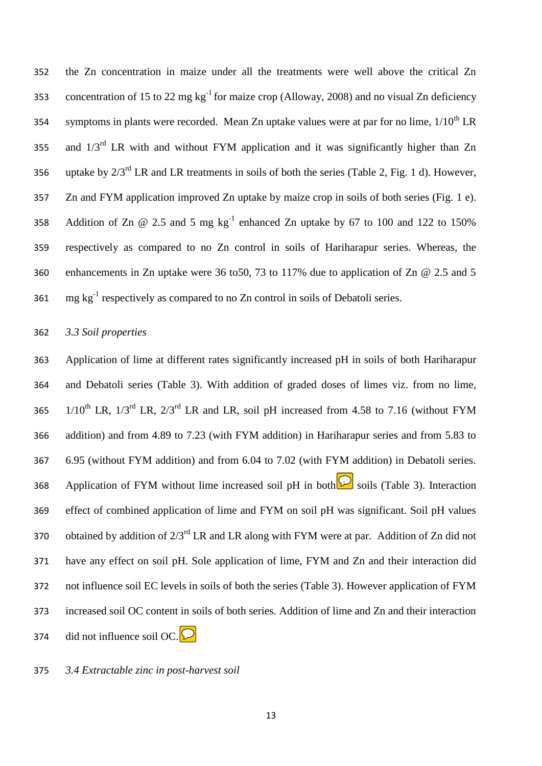352 the Zn concentration in maize under all the treatments were well above the critical Zn concentration of 15 to 22 mg kg<sup>-1</sup> for maize crop (Alloway, 2008) and no visual Zn deficiency symptoms in plants were recorded. Mean Zn uptake values were at par for no lime,  $1/10^{th}$  LR 355 and  $1/3^{rd}$  LR with and without FYM application and it was significantly higher than Zn 356 uptake by  $2/3^{rd}$  LR and LR treatments in soils of both the series (Table 2, Fig. 1 d). However, 357 Zn and FYM application improved Zn uptake by maize crop in soils of both series (Fig. 1 e). 358 Addition of Zn  $\omega$  2.5 and 5 mg kg<sup>-1</sup> enhanced Zn uptake by 67 to 100 and 122 to 150% 359 respectively as compared to no Zn control in soils of Hariharapur series. Whereas, the 360 enhancements in Zn uptake were 36 to50, 73 to 117% due to application of Zn @ 2.5 and 5 361  $\text{mg kg}^{-1}$  respectively as compared to no Zn control in soils of Debatoli series.

#### 362 *3.3 Soil properties*

 Application of lime at different rates significantly increased pH in soils of both Hariharapur and Debatoli series (Table 3). With addition of graded doses of limes viz. from no lime,  $1/10^{th}$  LR,  $1/3^{rd}$  LR,  $2/3^{rd}$  LR and LR, soil pH increased from 4.58 to 7.16 (without FYM addition) and from 4.89 to 7.23 (with FYM addition) in Hariharapur series and from 5.83 to 6.95 (without FYM addition) and from 6.04 to 7.02 (with FYM addition) in Debatoli series. 368 Application of FYM without lime increased soil pH in both  $\Omega$  soils (Table 3). Interaction effect of combined application of lime and FYM on soil pH was significant. Soil pH values 370 obtained by addition of  $2/3^{rd}$  LR and LR along with FYM were at par. Addition of Zn did not have any effect on soil pH. Sole application of lime, FYM and Zn and their interaction did not influence soil EC levels in soils of both the series (Table 3). However application of FYM increased soil OC content in soils of both series. Addition of lime and Zn and their interaction 374 did not influence soil OC.  $\boxed{\bigcirc}$ 

375 *3.4 Extractable zinc in post-harvest soil*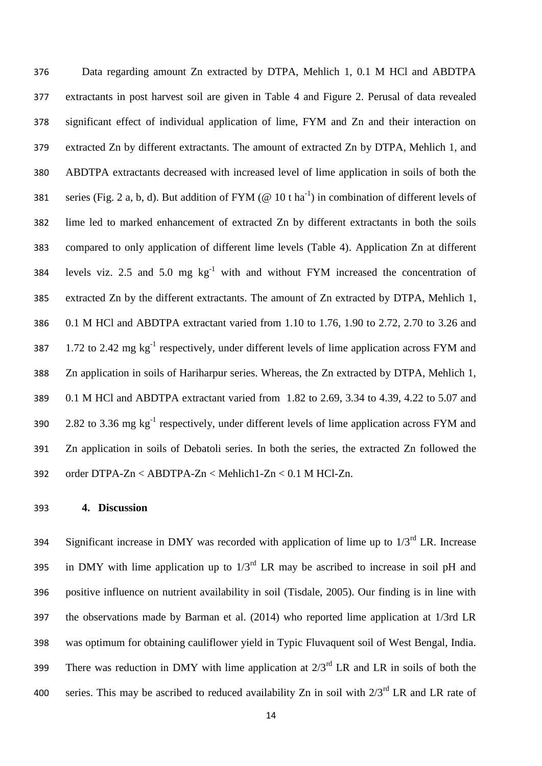Data regarding amount Zn extracted by DTPA, Mehlich 1, 0.1 M HCl and ABDTPA extractants in post harvest soil are given in Table 4 and Figure 2. Perusal of data revealed significant effect of individual application of lime, FYM and Zn and their interaction on extracted Zn by different extractants. The amount of extracted Zn by DTPA, Mehlich 1, and ABDTPA extractants decreased with increased level of lime application in soils of both the 381 series (Fig. 2 a, b, d). But addition of FYM ( $@10$  t ha<sup>-1</sup>) in combination of different levels of lime led to marked enhancement of extracted Zn by different extractants in both the soils compared to only application of different lime levels (Table 4). Application Zn at different 384 levels viz. 2.5 and 5.0 mg  $kg^{-1}$  with and without FYM increased the concentration of extracted Zn by the different extractants. The amount of Zn extracted by DTPA, Mehlich 1, 0.1 M HCl and ABDTPA extractant varied from 1.10 to 1.76, 1.90 to 2.72, 2.70 to 3.26 and 387 1.72 to 2.42 mg  $kg^{-1}$  respectively, under different levels of lime application across FYM and Zn application in soils of Hariharpur series. Whereas, the Zn extracted by DTPA, Mehlich 1, 0.1 M HCl and ABDTPA extractant varied from 1.82 to 2.69, 3.34 to 4.39, 4.22 to 5.07 and  $2.82$  to 3.36 mg  $\text{kg}^{-1}$  respectively, under different levels of lime application across FYM and Zn application in soils of Debatoli series. In both the series, the extracted Zn followed the order DTPA-Zn < ABDTPA-Zn < Mehlich1-Zn < 0.1 M HCl-Zn.

#### **4. Discussion**

Significant increase in DMY was recorded with application of lime up to  $1/3<sup>rd</sup>$  LR. Increase 395 in DMY with lime application up to  $1/3^{rd}$  LR may be ascribed to increase in soil pH and positive influence on nutrient availability in soil (Tisdale, 2005). Our finding is in line with the observations made by Barman et al. (2014) who reported lime application at 1/3rd LR was optimum for obtaining cauliflower yield in Typic Fluvaquent soil of West Bengal, India. There was reduction in DMY with lime application at  $2/3^{rd}$  LR and LR in soils of both the 400 series. This may be ascribed to reduced availability Zn in soil with  $2/3^{rd}$  LR and LR rate of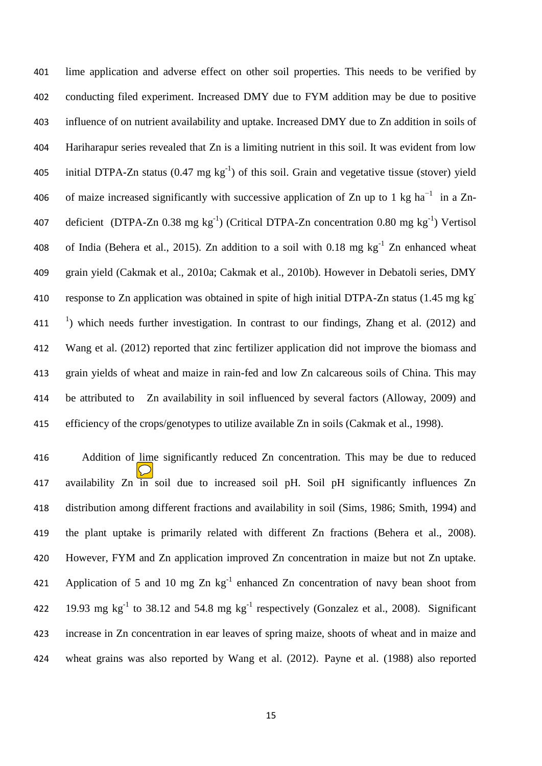lime application and adverse effect on other soil properties. This needs to be verified by conducting filed experiment. Increased DMY due to FYM addition may be due to positive influence of on nutrient availability and uptake. Increased DMY due to Zn addition in soils of Hariharapur series revealed that Zn is a limiting nutrient in this soil. It was evident from low 405 initial DTPA-Zn status  $(0.47 \text{ mg kg}^{-1})$  of this soil. Grain and vegetative tissue (stover) yield 406 of maize increased significantly with successive application of Zn up to 1 kg ha<sup>-1</sup> in a Zn-407 deficient (DTPA-Zn 0.38 mg  $kg^{-1}$ ) (Critical DTPA-Zn concentration 0.80 mg  $kg^{-1}$ ) Vertisol 408 of India (Behera et al., 2015). Zn addition to a soil with 0.18 mg  $kg^{-1}$  Zn enhanced wheat grain yield [\(Cakmak](http://www.sciencedirect.com/science/article/pii/S0378429012002365#bib0060) et al., 2010a; [Cakmak](http://www.sciencedirect.com/science/article/pii/S0378429012002365#bib0065) et al., 2010b). However in Debatoli series, DMY response to Zn application was obtained in spite of high initial DTPA-Zn status (1.45 mg kg-  $\rightarrow$  1) which needs further investigation. In contrast to our findings, Zhang et al. (2012) and Wang et al. (2012) reported that zinc fertilizer application did not improve the biomass and grain yields of wheat and maize in rain-fed and low Zn calcareous soils of China. This may be attributed to Zn availability in soil influenced by several factors (Alloway, 2009) and efficiency of the crops/genotypes to utilize available Zn in soils (Cakmak et al., 1998).

 Addition of lime significantly reduced Zn concentration. This may be due to reduced 417 availability Zn in soil due to increased soil pH. Soil pH significantly influences Zn distribution among different fractions and availability in soil (Sims, 1986; Smith, 1994) and the plant uptake is primarily related with different Zn fractions (Behera et al., 2008). However, FYM and Zn application improved Zn concentration in maize but not Zn uptake. 421 Application of 5 and 10 mg  $Zn$  kg<sup>-1</sup> enhanced  $Zn$  concentration of navy bean shoot from 422 19.93 mg  $kg^{-1}$  to 38.12 and 54.8 mg  $kg^{-1}$  respectively [\(Gonzalez](http://www.sciencedirect.com/science/article/pii/S0378429012002365#bib0110) et al., 2008). Significant increase in Zn concentration in ear leaves of spring maize, shoots of wheat and in maize and wheat grains was also reported by Wang et al. (2012). Payne et al. [\(1988\)](http://www.sciencedirect.com/science/article/pii/S0378429098001312#BIB70) also reported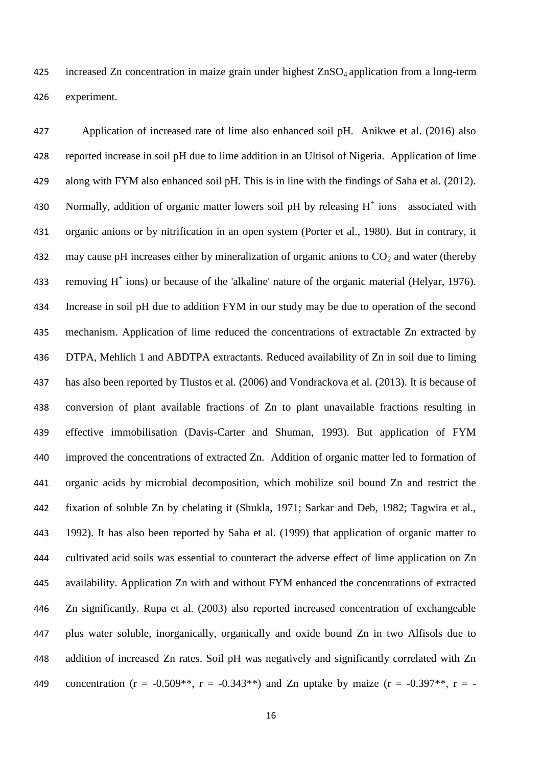increased Zn concentration in maize grain under highest ZnSO4 application from a long-term experiment.

 Application of increased rate of lime also enhanced soil pH. Anikwe et al. (2016) also reported increase in soil pH due to lime addition in an Ultisol of Nigeria. Application of lime along with FYM also enhanced soil pH. This is in line with the findings of Saha et al. (2012). 430 Normally, addition of organic matter lowers soil pH by releasing  $H^+$  ions associated with organic anions or by nitrification in an open system (Porter et al., 1980). But in contrary, it 432 may cause pH increases either by mineralization of organic anions to  $CO<sub>2</sub>$  and water (thereby 433 removing  $H^+$  ions) or because of the 'alkaline' nature of the organic material (Helyar, 1976). Increase in soil pH due to addition FYM in our study may be due to operation of the second mechanism. Application of lime reduced the concentrations of extractable Zn extracted by DTPA, Mehlich 1 and ABDTPA extractants. Reduced availability of Zn in soil due to liming has also been reported by Tlustos et al. (2006) and Vondrackova et al. (2013). It is because of conversion of plant available fractions of Zn to plant unavailable fractions resulting in effective immobilisation (Davis-Carter and Shuman, 1993). But application of FYM improved the concentrations of extracted Zn. Addition of organic matter led to formation of organic acids by microbial decomposition, which mobilize soil bound Zn and restrict the fixation of soluble Zn by chelating it (Shukla, 1971; Sarkar and Deb, 1982; Tagwira et al., 1992). It has also been reported by Saha et al. (1999) that application of organic matter to cultivated acid soils was essential to counteract the adverse effect of lime application on Zn availability. Application Zn with and without FYM enhanced the concentrations of extracted Zn significantly. Rupa et al. (2003) also reported increased concentration of exchangeable plus water soluble, inorganically, organically and oxide bound Zn in two Alfisols due to addition of increased Zn rates. Soil pH was negatively and significantly correlated with Zn 449 concentration (r =  $-0.509**$ , r =  $-0.343**$ ) and Zn uptake by maize (r =  $-0.397**$ , r =  $-$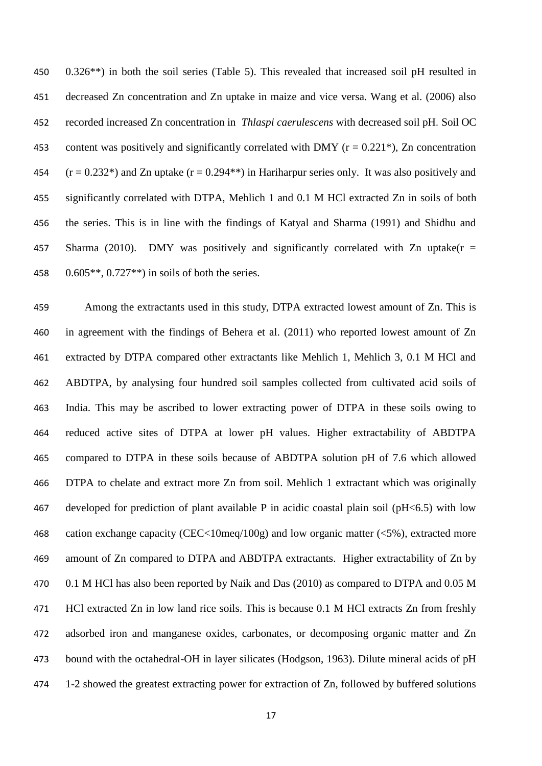0.326\*\*) in both the soil series (Table 5). This revealed that increased soil pH resulted in decreased Zn concentration and Zn uptake in maize and vice versa. Wang et al. (2006) also recorded increased Zn concentration in *Thlaspi caerulescens* with decreased soil pH. Soil OC 453 content was positively and significantly correlated with DMY ( $r = 0.221$ <sup>\*</sup>), Zn concentration  $(r = 0.232^*)$  and Zn uptake  $(r = 0.294^{**})$  in Hariharpur series only. It was also positively and significantly correlated with DTPA, Mehlich 1 and 0.1 M HCl extracted Zn in soils of both the series. This is in line with the findings of Katyal and Sharma (1991) and Shidhu and 457 Sharma (2010). DMY was positively and significantly correlated with  $Zn$  uptake( $r =$  $0.605**$ ,  $0.727**$ ) in soils of both the series.

 Among the extractants used in this study, DTPA extracted lowest amount of Zn. This is in agreement with the findings of Behera et al. (2011) who reported lowest amount of Zn extracted by DTPA compared other extractants like Mehlich 1, Mehlich 3, 0.1 M HCl and ABDTPA, by analysing four hundred soil samples collected from cultivated acid soils of India. This may be ascribed to lower extracting power of DTPA in these soils owing to reduced active sites of DTPA at lower pH values. Higher extractability of ABDTPA compared to DTPA in these soils because of ABDTPA solution pH of 7.6 which allowed DTPA to chelate and extract more Zn from soil. Mehlich 1 extractant which was originally 467 developed for prediction of plant available P in acidic coastal plain soil ( $pH \le 6.5$ ) with low cation exchange capacity (CEC<10meq/100g) and low organic matter (<5%), extracted more amount of Zn compared to DTPA and ABDTPA extractants. Higher extractability of Zn by 470 0.1 M HCl has also been reported by Naik and Das (2010) as compared to DTPA and 0.05 M HCl extracted Zn in low land rice soils. This is because 0.1 M HCl extracts Zn from freshly adsorbed iron and manganese oxides, carbonates, or decomposing organic matter and Zn bound with the octahedral-OH in layer silicates (Hodgson, 1963). Dilute mineral acids of pH 1-2 showed the greatest extracting power for extraction of Zn, followed by buffered solutions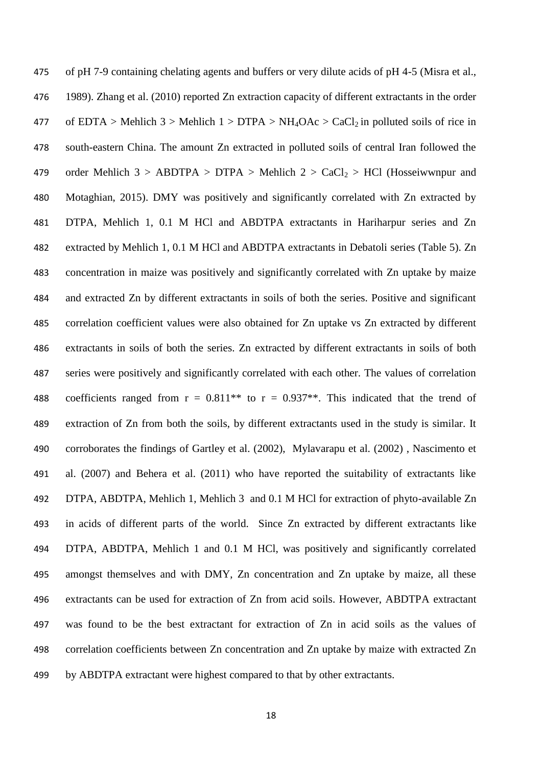of pH 7-9 containing chelating agents and buffers or very dilute acids of pH 4-5 (Misra et al., 1989). Zhang et al. (2010) reported Zn extraction capacity of different extractants in the order 477 of EDTA > Mehlich 3 > Mehlich 1 > DTPA > NH<sub>4</sub>OAc > CaCl<sub>2</sub> in polluted soils of rice in south-eastern China. The amount Zn extracted in polluted soils of central Iran followed the 479 order Mehlich  $3 > ABDTPA > DTPA > Mehlich 2 > CaCl<sub>2</sub> > HCl$  (Hosseiwwnpur and Motaghian, 2015). DMY was positively and significantly correlated with Zn extracted by DTPA, Mehlich 1, 0.1 M HCl and ABDTPA extractants in Hariharpur series and Zn extracted by Mehlich 1, 0.1 M HCl and ABDTPA extractants in Debatoli series (Table 5). Zn concentration in maize was positively and significantly correlated with Zn uptake by maize and extracted Zn by different extractants in soils of both the series. Positive and significant correlation coefficient values were also obtained for Zn uptake vs Zn extracted by different extractants in soils of both the series. Zn extracted by different extractants in soils of both series were positively and significantly correlated with each other. The values of correlation 488 coefficients ranged from  $r = 0.811**$  to  $r = 0.937**$ . This indicated that the trend of extraction of Zn from both the soils, by different extractants used in the study is similar. It corroborates the findings of Gartley et al. (2002), Mylavarapu et al. (2002) , Nascimento et al. (2007) and Behera et al. (2011) who have reported the suitability of extractants like DTPA, ABDTPA, Mehlich 1, Mehlich 3 and 0.1 M HCl for extraction of phyto-available Zn in acids of different parts of the world. Since Zn extracted by different extractants like DTPA, ABDTPA, Mehlich 1 and 0.1 M HCl, was positively and significantly correlated amongst themselves and with DMY, Zn concentration and Zn uptake by maize, all these extractants can be used for extraction of Zn from acid soils. However, ABDTPA extractant was found to be the best extractant for extraction of Zn in acid soils as the values of correlation coefficients between Zn concentration and Zn uptake by maize with extracted Zn by ABDTPA extractant were highest compared to that by other extractants.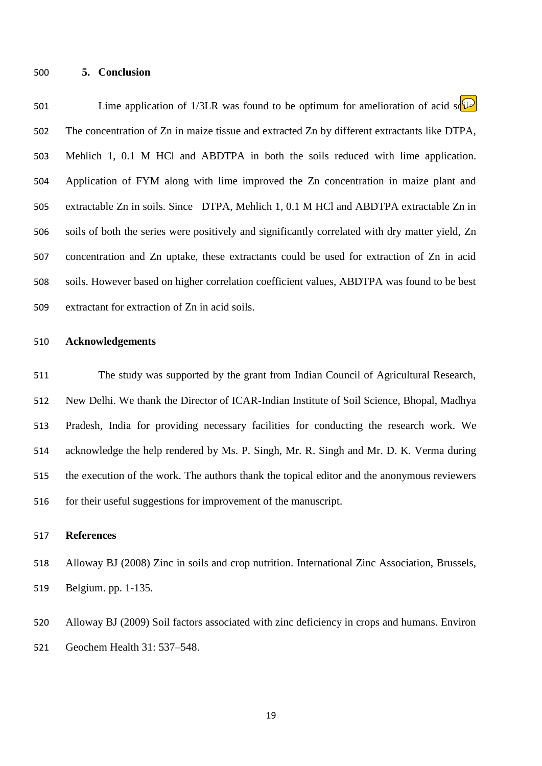#### **5. Conclusion**

501 Lime application of 1/3LR was found to be optimum for amelioration of acid some The concentration of Zn in maize tissue and extracted Zn by different extractants like DTPA, Mehlich 1, 0.1 M HCl and ABDTPA in both the soils reduced with lime application. Application of FYM along with lime improved the Zn concentration in maize plant and extractable Zn in soils. Since DTPA, Mehlich 1, 0.1 M HCl and ABDTPA extractable Zn in soils of both the series were positively and significantly correlated with dry matter yield, Zn concentration and Zn uptake, these extractants could be used for extraction of Zn in acid soils. However based on higher correlation coefficient values, ABDTPA was found to be best extractant for extraction of Zn in acid soils.

#### **Acknowledgements**

 The study was supported by the grant from Indian Council of Agricultural Research, New Delhi. We thank the Director of ICAR-Indian Institute of Soil Science, Bhopal, Madhya Pradesh, India for providing necessary facilities for conducting the research work. We acknowledge the help rendered by Ms. P. Singh, Mr. R. Singh and Mr. D. K. Verma during the execution of the work. The authors thank the topical editor and the anonymous reviewers for their useful suggestions for improvement of the manuscript.

# **References**

 Alloway BJ (2008) Zinc in soils and crop nutrition. International Zinc Association, Brussels, Belgium. pp. 1-135.

 Alloway BJ (2009) Soil factors associated with zinc deficiency in crops and humans. Environ Geochem Health 31: 537–548.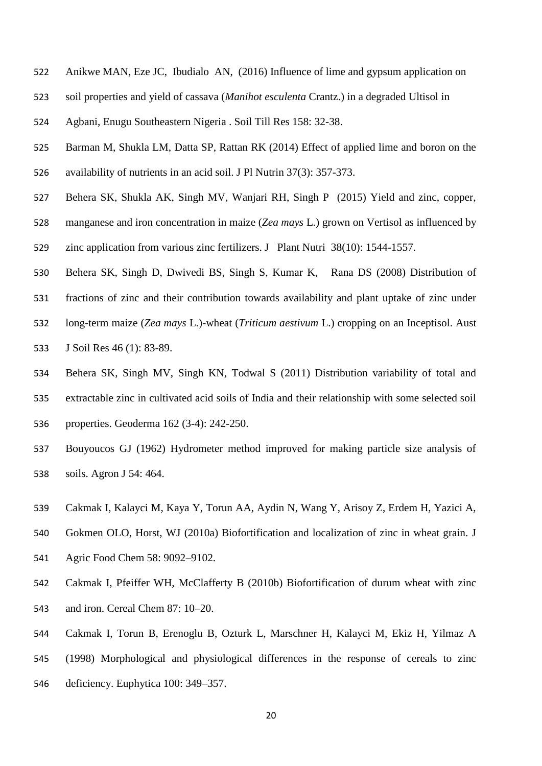- Anikwe MAN, Eze JC, Ibudialo AN, (2016) Influence of lime and gypsum application on
- soil properties and yield of cassava (*Manihot esculenta* Crantz.) in a degraded Ultisol in
- Agbani, Enugu Southeastern Nigeria . Soil Till Res 158: 32-38.
- Barman M, Shukla LM, Datta SP, Rattan RK (2014) Effect of applied lime and boron on the availability of nutrients in an acid soil. J Pl Nutrin 37(3): 357-373.
- Behera SK, Shukla AK, Singh MV, Wanjari RH, Singh P (2015) Yield and zinc, copper,
- manganese and iron concentration in maize (*Zea mays* L.) grown on Vertisol as influenced by
- zinc application from various zinc fertilizers. J Plant Nutri 38(10): 1544-1557.
- Behera SK, Singh D, Dwivedi BS, Singh S, Kumar K, Rana DS (2008) Distribution of
- fractions of zinc and their contribution towards availability and plant uptake of zinc under
- long-term maize (*Zea mays* L.)-wheat (*Triticum aestivum* L.) cropping on an Inceptisol. Aust
- J Soil Res 46 (1): 83-89.
- Behera SK, Singh MV, Singh KN, Todwal S (2011) Distribution variability of total and extractable zinc in cultivated acid soils of India and their relationship with some selected soil properties. Geoderma 162 (3-4): 242-250.
- Bouyoucos GJ (1962) Hydrometer method improved for making particle size analysis of soils. Agron J 54: 464.
- Cakmak I, Kalayci M, Kaya Y, Torun AA, Aydin N, Wang Y, Arisoy Z, Erdem H, Yazici A,
- Gokmen OLO, Horst, WJ (2010a) Biofortification and localization of zinc in wheat grain. J Agric Food Chem 58: 9092–9102.
- Cakmak I, Pfeiffer WH, McClafferty B (2010b) Biofortification of durum wheat with zinc and iron. Cereal Chem 87: 10–20.
- Cakmak I, Torun B, Erenoglu B, Ozturk L, Marschner H, Kalayci M, Ekiz H, Yilmaz A
- (1998) Morphological and physiological differences in the response of cereals to zinc
- deficiency. Euphytica 100: 349–357.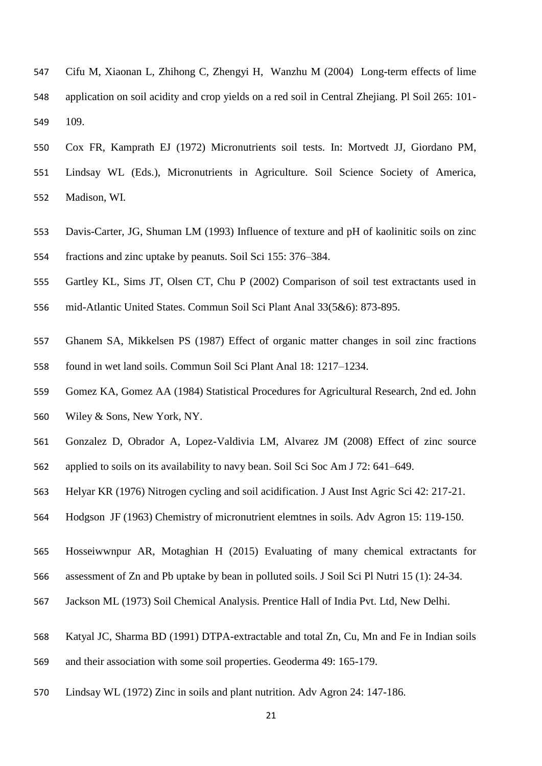- Cifu M, Xiaonan L, Zhihong C, Zhengyi H, Wanzhu M (2004) Long-term effects of lime application on soil acidity and crop yields on a red soil in Central Zhejiang. Pl Soil 265: 101- 109.
- Cox FR, Kamprath EJ (1972) Micronutrients soil tests. In: Mortvedt JJ, Giordano PM, Lindsay WL (Eds.), Micronutrients in Agriculture. Soil Science Society of America,

Madison, WI.

- Davis-Carter, JG, Shuman LM (1993) Influence of texture and pH of kaolinitic soils on zinc fractions and zinc uptake by peanuts. Soil Sci 155: 376–384.
- Gartley KL, Sims JT, Olsen CT, Chu P (2002) Comparison of soil test extractants used in
- mid-Atlantic United States. Commun Soil Sci Plant Anal 33(5&6): 873-895.
- Ghanem SA, Mikkelsen PS (1987) Effect of organic matter changes in soil zinc fractions found in wet land soils. Commun Soil Sci Plant Anal 18: 1217–1234.
- Gomez KA, Gomez AA (1984) Statistical Procedures for Agricultural Research, 2nd ed. John
- Wiley & Sons, New York, NY.
- Gonzalez D, Obrador A, Lopez-Valdivia LM, Alvarez JM (2008) Effect of zinc source
- applied to soils on its availability to navy bean. Soil Sci Soc Am J 72: 641–649.
- Helyar KR (1976) Nitrogen cycling and soil acidification. J Aust Inst Agric Sci 42: 217-21.
- Hodgson JF (1963) Chemistry of micronutrient elemtnes in soils. Adv Agron 15: 119-150.
- Hosseiwwnpur AR, Motaghian H (2015) Evaluating of many chemical extractants for
- assessment of Zn and Pb uptake by bean in polluted soils. J Soil Sci Pl Nutri 15 (1): 24-34.
- Jackson ML (1973) Soil Chemical Analysis. Prentice Hall of India Pvt. Ltd, New Delhi.
- Katyal JC, Sharma BD (1991) DTPA-extractable and total Zn, Cu, Mn and Fe in Indian soils
- and their association with some soil properties. Geoderma 49: 165-179.
- Lindsay WL (1972) Zinc in soils and plant nutrition. Adv Agron 24: 147-186.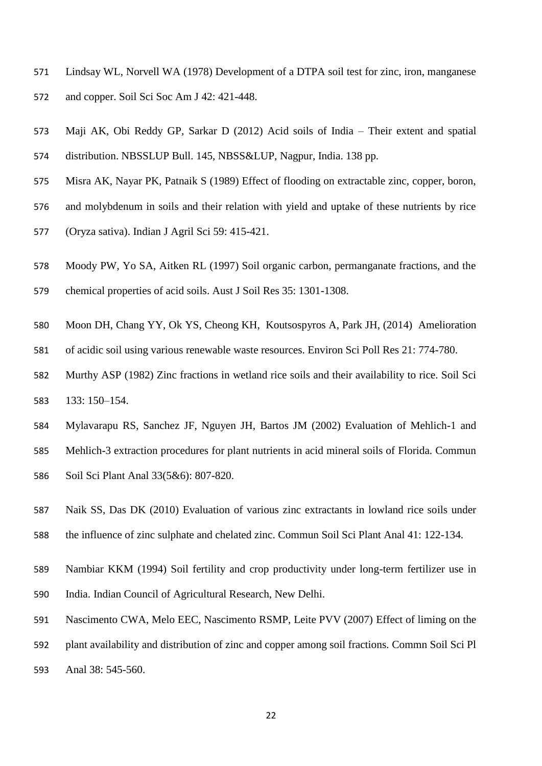- Lindsay WL, Norvell WA (1978) Development of a DTPA soil test for zinc, iron, manganese and copper. Soil Sci Soc Am J 42: 421-448.
- Maji AK, Obi Reddy GP, Sarkar D (2012) Acid soils of India Their extent and spatial distribution. NBSSLUP Bull. 145, NBSS&LUP, Nagpur, India. 138 pp.
- Misra AK, Nayar PK, Patnaik S (1989) Effect of flooding on extractable zinc, copper, boron,
- and molybdenum in soils and their relation with yield and uptake of these nutrients by rice
- (Oryza sativa). Indian J Agril Sci 59: 415-421.
- Moody PW, Yo SA, Aitken RL (1997) Soil organic carbon, permanganate fractions, and the
- chemical properties of acid soils. Aust J Soil Res 35: 1301-1308.
- Moon DH, Chang YY, Ok YS, Cheong KH, Koutsospyros A, Park JH, (2014) Amelioration
- of acidic soil using various renewable waste resources. Environ Sci Poll Res 21: 774-780.
- Murthy ASP (1982) Zinc fractions in wetland rice soils and their availability to rice. Soil Sci 133: 150–154.
- Mylavarapu RS, Sanchez JF, Nguyen JH, Bartos JM (2002) Evaluation of Mehlich-1 and
- Mehlich-3 extraction procedures for plant nutrients in acid mineral soils of Florida. Commun Soil Sci Plant Anal 33(5&6): 807-820.
- Naik SS, Das DK (2010) Evaluation of various zinc extractants in lowland rice soils under the influence of zinc sulphate and chelated zinc. Commun Soil Sci Plant Anal 41: 122-134.
- Nambiar KKM (1994) Soil fertility and crop productivity under long-term fertilizer use in India. Indian Council of Agricultural Research, New Delhi.
- Nascimento CWA, Melo EEC, Nascimento RSMP, Leite PVV (2007) Effect of liming on the
- plant availability and distribution of zinc and copper among soil fractions. Commn Soil Sci Pl
- Anal 38: 545-560.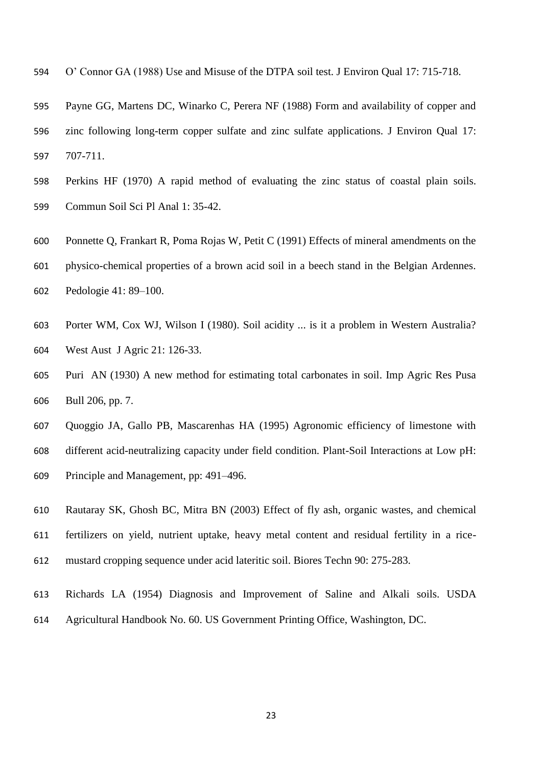- O' Connor GA (1988) Use and Misuse of the DTPA soil test. J Environ Qual 17: 715-718.
- Payne GG, Martens DC, Winarko C, Perera NF (1988) Form and availability of copper and zinc following long-term copper sulfate and zinc sulfate applications. J Environ Qual 17: 707-711.
- Perkins HF (1970) A rapid method of evaluating the zinc status of coastal plain soils. Commun Soil Sci Pl Anal 1: 35-42.
- Ponnette Q, Frankart R, Poma Rojas W, Petit C (1991) Effects of mineral amendments on the
- physico-chemical properties of a brown acid soil in a beech stand in the Belgian Ardennes.
- Pedologie 41: 89–100.
- Porter WM, Cox WJ, Wilson I (1980). Soil acidity ... is it a problem in Western Australia? West Aust J Agric 21: 126-33.
- Puri AN (1930) A new method for estimating total carbonates in soil. Imp Agric Res Pusa Bull 206, pp. 7.
- Quoggio JA, Gallo PB, Mascarenhas HA (1995) Agronomic efficiency of limestone with different acid-neutralizing capacity under field condition. Plant-Soil Interactions at Low pH: Principle and Management, pp: 491–496.
- Rautaray SK, Ghosh BC, Mitra BN (2003) Effect of fly ash, organic wastes, and chemical fertilizers on yield, nutrient uptake, heavy metal content and residual fertility in a rice-mustard cropping sequence under acid lateritic soil. Biores Techn 90: 275-283.
- Richards LA (1954) Diagnosis and Improvement of Saline and Alkali soils. USDA Agricultural Handbook No. 60. US Government Printing Office, Washington, DC.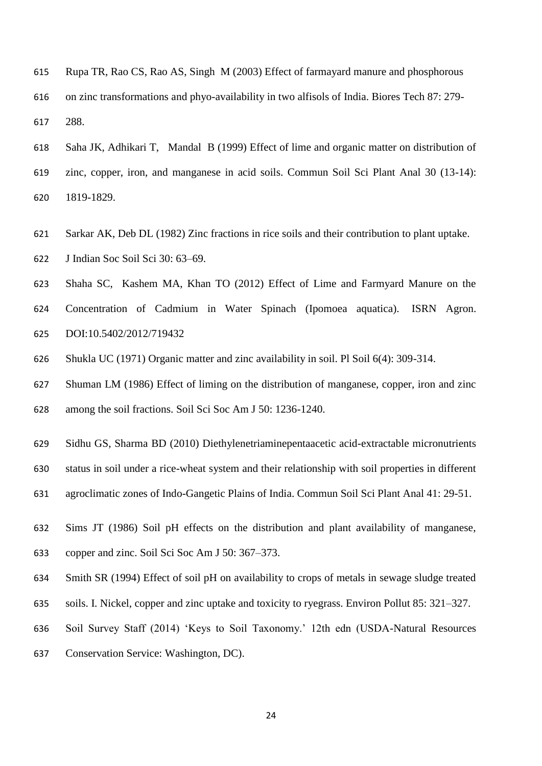- Rupa TR, Rao CS, Rao AS, Singh M (2003) Effect of farmayard manure and phosphorous on zinc transformations and phyo-availability in two alfisols of India. Biores Tech 87: 279- 288.
- Saha JK, Adhikari T, Mandal B (1999) Effect of lime and organic matter on distribution of zinc, copper, iron, and manganese in acid soils. Commun Soil Sci Plant Anal 30 (13-14): 1819-1829.
- Sarkar AK, Deb DL (1982) Zinc fractions in rice soils and their contribution to plant uptake.
- J Indian Soc Soil Sci 30: 63–69.
- Shaha SC, Kashem MA, Khan TO (2012) Effect of Lime and Farmyard Manure on the
- Concentration of Cadmium in Water Spinach (Ipomoea aquatica). ISRN Agron. DOI:10.5402/2012/719432
- Shukla UC (1971) Organic matter and zinc availability in soil. Pl Soil 6(4): 309-314.
- Shuman LM (1986) Effect of liming on the distribution of manganese, copper, iron and zinc
- among the soil fractions. Soil Sci Soc Am J 50: 1236-1240.
- Sidhu GS, Sharma BD (2010) Diethylenetriaminepentaacetic acid-extractable micronutrients
- status in soil under a rice-wheat system and their relationship with soil properties in different
- agroclimatic zones of Indo-Gangetic Plains of India. Commun Soil Sci Plant Anal 41: 29-51.
- Sims JT (1986) Soil pH effects on the distribution and plant availability of manganese, copper and zinc. Soil Sci Soc Am J 50: 367–373.
- Smith SR (1994) Effect of soil pH on availability to crops of metals in sewage sludge treated
- soils. I. Nickel, copper and zinc uptake and toxicity to ryegrass. Environ Pollut 85: 321–327.
- Soil Survey Staff (2014) 'Keys to Soil Taxonomy.' 12th edn (USDA-Natural Resources
- Conservation Service: Washington, DC).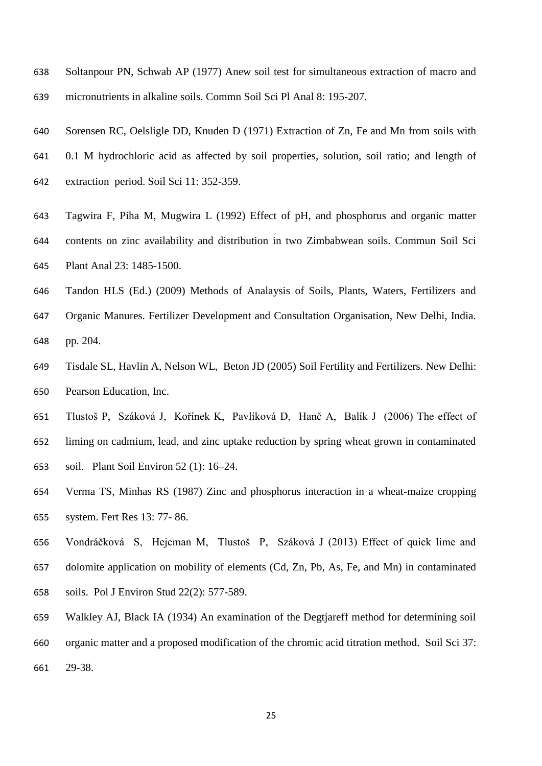- Soltanpour PN, Schwab AP (1977) Anew soil test for simultaneous extraction of macro and micronutrients in alkaline soils. Commn Soil Sci Pl Anal 8: 195-207.
- Sorensen RC, Oelsligle DD, Knuden D (1971) Extraction of Zn, Fe and Mn from soils with
- 0.1 M hydrochloric acid as affected by soil properties, solution, soil ratio; and length of
- extraction period. Soil Sci 11: 352-359.
- Tagwira F, Piha M, Mugwira L (1992) Effect of pH, and phosphorus and organic matter contents on zinc availability and distribution in two Zimbabwean soils. Commun Soil Sci Plant Anal 23: 1485-1500.
- Tandon HLS (Ed.) (2009) Methods of Analaysis of Soils, Plants, Waters, Fertilizers and
- Organic Manures. Fertilizer Development and Consultation Organisation, New Delhi, India. pp. 204.
- Tisdale SL, Havlin A, Nelson WL, Beton JD (2005) Soil Fertility and Fertilizers. New Delhi: Pearson Education, Inc.
- Tlustoš P, Száková J, Kořínek K, Pavlíková D, Hanč A, Balík J (2006) The effect of liming on cadmium, lead, and zinc uptake reduction by spring wheat grown in contaminated
- soil. Plant Soil Environ 52 (1): 16–24.
- Verma TS, Minhas RS (1987) Zinc and phosphorus interaction in a wheat-maize cropping system. Fert Res 13: 77- 86.
- Vondráčková S, Hejcman M, Tlustoš P, Száková J (2013) Effect of quick lime and dolomite application on mobility of elements (Cd, Zn, Pb, As, Fe, and Mn) in contaminated soils. Pol J Environ Stud 22(2): 577-589.
- Walkley AJ, Black IA (1934) An examination of the Degtjareff method for determining soil organic matter and a proposed modification of the chromic acid titration method. Soil Sci 37: 29-38.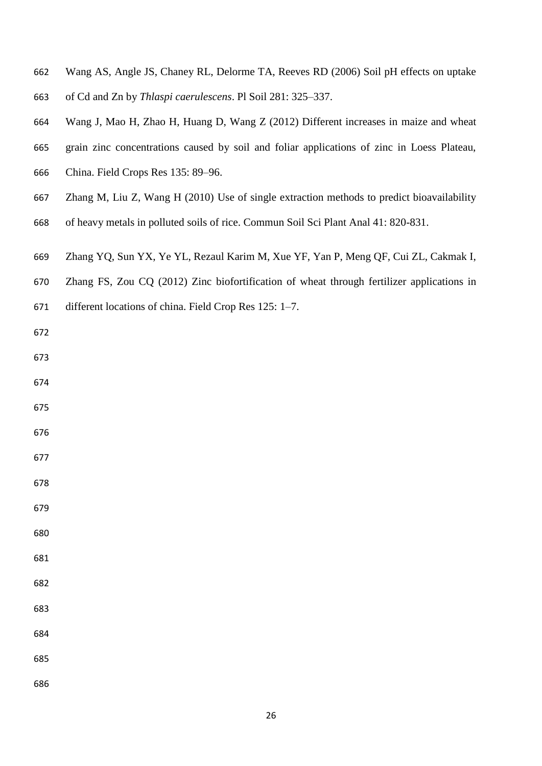- Wang AS, Angle JS, Chaney RL, Delorme TA, Reeves RD (2006) Soil pH effects on uptake of Cd and Zn by *Thlaspi caerulescens*. Pl Soil 281: 325–337.
- 
- Wang J, Mao H, Zhao H, Huang D, Wang Z (2012) Different increases in maize and wheat
- grain zinc concentrations caused by soil and foliar applications of zinc in Loess Plateau,
- China. Field Crops Res 135: 89–96.
- Zhang M, Liu Z, Wang H (2010) Use of single extraction methods to predict bioavailability
- of heavy metals in polluted soils of rice. Commun Soil Sci Plant Anal 41: 820-831.
- Zhang YQ, Sun YX, Ye YL, Rezaul Karim M, Xue YF, Yan P, Meng QF, Cui ZL, Cakmak I,
- Zhang FS, Zou CQ (2012) Zinc biofortification of wheat through fertilizer applications in
- different locations of china. Field Crop Res 125: 1–7.
- 
- 
- 
- 
- 
- 
- 
- 
- 
- 
- 
- 
- 
- 
- 
- 
-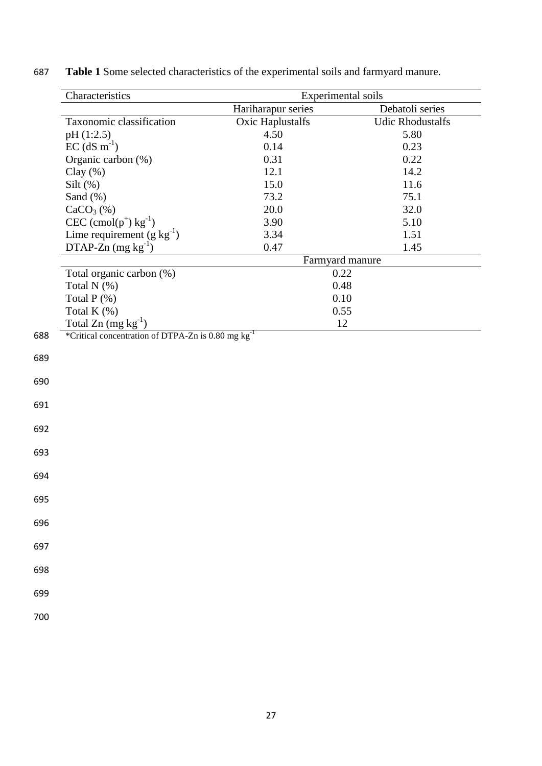|     | Characteristics                                                | Experimental soils      |                         |
|-----|----------------------------------------------------------------|-------------------------|-------------------------|
|     |                                                                | Hariharapur series      | Debatoli series         |
|     | Taxonomic classification                                       | <b>Oxic Haplustalfs</b> | <b>Udic Rhodustalfs</b> |
|     | pH (1:2.5)                                                     | 4.50                    | 5.80                    |
|     | $EC$ (dS m <sup>-1</sup> )                                     | 0.14                    | 0.23                    |
|     | Organic carbon (%)                                             | 0.31                    | 0.22                    |
|     | Clay $(\% )$                                                   | 12.1                    | 14.2                    |
|     | Silt $(\%)$                                                    | 15.0                    | 11.6                    |
|     | Sand $(\%)$                                                    | 73.2                    | 75.1                    |
|     | $CaCO3(\%)$                                                    | 20.0                    | 32.0                    |
|     | $CEC$ (cmol(p <sup>+</sup> ) kg <sup>-1</sup> )                | 3.90                    | 5.10                    |
|     |                                                                | 3.34                    | 1.51                    |
|     | Lime requirement $(g kg^{-1})$<br>DTAP-Zn $(mg kg^{-1})$       | 0.47                    | 1.45                    |
|     |                                                                | Farmyard manure         |                         |
|     | Total organic carbon (%)                                       | 0.22                    |                         |
|     | Total N (%)                                                    | 0.48                    |                         |
|     | Total P (%)                                                    | 0.10                    |                         |
|     | Total K $(\%)$                                                 | 0.55                    |                         |
|     | Total Zn $(mg kg-1)$                                           | 12                      |                         |
| 688 | *Critical concentration of DTPA-Zn is 0.80 mg kg <sup>-1</sup> |                         |                         |
|     |                                                                |                         |                         |
| 689 |                                                                |                         |                         |
| 690 |                                                                |                         |                         |
|     |                                                                |                         |                         |
| 691 |                                                                |                         |                         |
|     |                                                                |                         |                         |
| 692 |                                                                |                         |                         |
| 693 |                                                                |                         |                         |
| 694 |                                                                |                         |                         |
|     |                                                                |                         |                         |
| 695 |                                                                |                         |                         |
| 696 |                                                                |                         |                         |
|     |                                                                |                         |                         |
| 697 |                                                                |                         |                         |
| 698 |                                                                |                         |                         |
|     |                                                                |                         |                         |
| 699 |                                                                |                         |                         |

687 **Table 1** Some selected characteristics of the experimental soils and farmyard manure.

700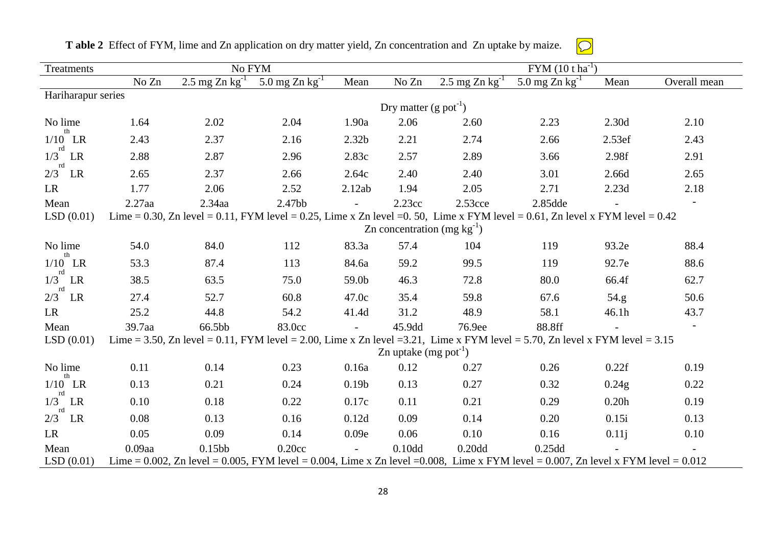| Treatments         |                                 | No FYM                                                                                                                             |                              |                   | $FYM (10 t ha-1)$                   |                              |                            |        |                          |  |
|--------------------|---------------------------------|------------------------------------------------------------------------------------------------------------------------------------|------------------------------|-------------------|-------------------------------------|------------------------------|----------------------------|--------|--------------------------|--|
|                    | No Zn                           | 2.5 mg Zn $kg^{-1}$                                                                                                                | 5.0 mg $Zn$ kg <sup>-1</sup> | Mean              | No Zn                               | 2.5 mg $Zn$ kg <sup>-1</sup> | 5.0 mg Zn $\text{kg}^{-1}$ | Mean   | Overall mean             |  |
| Hariharapur series |                                 |                                                                                                                                    |                              |                   |                                     |                              |                            |        |                          |  |
|                    |                                 |                                                                                                                                    |                              |                   | Dry matter $(g$ pot <sup>-1</sup> ) |                              |                            |        |                          |  |
| No lime            | 1.64                            | 2.02                                                                                                                               | 2.04                         | 1.90a             | 2.06                                | 2.60                         | 2.23                       | 2.30d  | 2.10                     |  |
| $1/10$ LR<br>rd    | 2.43                            | 2.37                                                                                                                               | 2.16                         | 2.32 <sub>b</sub> | 2.21                                | 2.74                         | 2.66                       | 2.53ef | 2.43                     |  |
| $1/3$ LR<br>rd     | 2.88                            | 2.87                                                                                                                               | 2.96                         | 2.83c             | 2.57                                | 2.89                         | 3.66                       | 2.98f  | 2.91                     |  |
| $2/3$ LR           | 2.65                            | 2.37                                                                                                                               | 2.66                         | 2.64c             | 2.40                                | 2.40                         | 3.01                       | 2.66d  | 2.65                     |  |
| <b>LR</b>          | 1.77                            | 2.06                                                                                                                               | 2.52                         | 2.12ab            | 1.94                                | 2.05                         | 2.71                       | 2.23d  | 2.18                     |  |
| Mean               | $2.27$ aa                       | $2.34$ aa                                                                                                                          | 2.47bb                       |                   | 2.23cc                              | $2.53$ cce                   | 2.85dde                    |        | $\overline{\phantom{a}}$ |  |
| LSD(0.01)          |                                 | Lime = 0.30, Zn level = 0.11, FYM level = 0.25, Lime x Zn level = 0.50, Lime x FYM level = 0.61, Zn level x FYM level = 0.42       |                              |                   |                                     |                              |                            |        |                          |  |
|                    | Zn concentration $(mg kg^{-1})$ |                                                                                                                                    |                              |                   |                                     |                              |                            |        |                          |  |
| No lime            | 54.0                            | 84.0                                                                                                                               | 112                          | 83.3a             | 57.4                                | 104                          | 119                        | 93.2e  | 88.4                     |  |
| th<br>$1/10$ LR    | 53.3                            | 87.4                                                                                                                               | 113                          | 84.6a             | 59.2                                | 99.5                         | 119                        | 92.7e  | 88.6                     |  |
| rd<br>$1/3$ LR     | 38.5                            | 63.5                                                                                                                               | 75.0                         | 59.0b             | 46.3                                | 72.8                         | 80.0                       | 66.4f  | 62.7                     |  |
| $2/3^{rd}$ LR      | 27.4                            | 52.7                                                                                                                               | 60.8                         | 47.0c             | 35.4                                | 59.8                         | 67.6                       | 54.g   | 50.6                     |  |
| LR                 | 25.2                            | 44.8                                                                                                                               | 54.2                         | 41.4d             | 31.2                                | 48.9                         | 58.1                       | 46.1h  | 43.7                     |  |
| Mean               | 39.7aa                          | 66.5bb                                                                                                                             | 83.0cc                       |                   | 45.9dd                              | 76.9ee                       | 88.8ff                     |        |                          |  |
| LSD(0.01)          |                                 | Lime = 3.50, Zn level = 0.11, FYM level = 2.00, Lime x Zn level = 3.21, Lime x FYM level = 5.70, Zn level x FYM level = 3.15       |                              |                   |                                     |                              |                            |        |                          |  |
|                    |                                 |                                                                                                                                    |                              |                   | Zn uptake $(mg$ pot <sup>-1</sup> ) |                              |                            |        |                          |  |
| No lime<br>th      | 0.11                            | 0.14                                                                                                                               | 0.23                         | 0.16a             | 0.12                                | 0.27                         | 0.26                       | 0.22f  | 0.19                     |  |
| $1/10$ LR          | 0.13                            | 0.21                                                                                                                               | 0.24                         | 0.19 <sub>b</sub> | 0.13                                | 0.27                         | 0.32                       | 0.24g  | 0.22                     |  |
| rd<br>$1/3$ LR     | 0.10                            | 0.18                                                                                                                               | 0.22                         | 0.17c             | 0.11                                | 0.21                         | 0.29                       | 0.20h  | 0.19                     |  |
| rd<br>$2/3$ LR     | 0.08                            | 0.13                                                                                                                               | 0.16                         | 0.12d             | 0.09                                | 0.14                         | 0.20                       | 0.15i  | 0.13                     |  |
| LR                 | 0.05                            | 0.09                                                                                                                               | 0.14                         | 0.09e             | 0.06                                | 0.10                         | 0.16                       | 0.11j  | 0.10                     |  |
| Mean               | $0.09$ aa                       | 0.15bb                                                                                                                             | 0.20cc                       |                   | 0.10 <sub>dd</sub>                  | 0.20 <sub>dd</sub>           | 0.25dd                     |        |                          |  |
| LSD(0.01)          |                                 | Lime = 0.002, Zn level = 0.005, FYM level = 0.004, Lime x Zn level = 0.008, Lime x FYM level = 0.007, Zn level x FYM level = 0.012 |                              |                   |                                     |                              |                            |        |                          |  |

**T able 2** Effect of FYM, lime and Zn application on dry matter yield, Zn concentration and Zn uptake by maize.

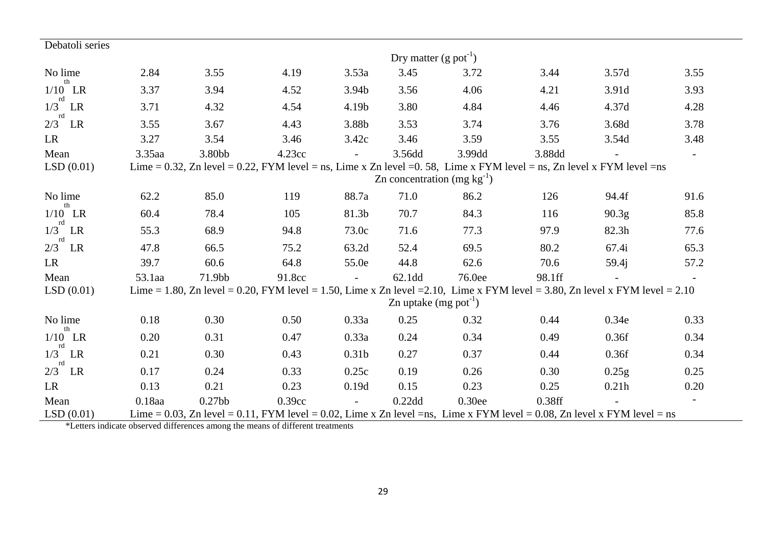| Debatoli series       |                                                                                                                        |                    |        |                   |                                     |                                                                                                                              |        |                   |                |  |
|-----------------------|------------------------------------------------------------------------------------------------------------------------|--------------------|--------|-------------------|-------------------------------------|------------------------------------------------------------------------------------------------------------------------------|--------|-------------------|----------------|--|
|                       |                                                                                                                        |                    |        |                   | Dry matter $(g$ pot <sup>-1</sup> ) |                                                                                                                              |        |                   |                |  |
| No lime               | 2.84                                                                                                                   | 3.55               | 4.19   | 3.53a             | 3.45                                | 3.72                                                                                                                         | 3.44   | 3.57d             | 3.55           |  |
| th<br>$1/10$ LR<br>rd | 3.37                                                                                                                   | 3.94               | 4.52   | 3.94b             | 3.56                                | 4.06                                                                                                                         | 4.21   | 3.91d             | 3.93           |  |
| $1/3$ LR              | 3.71                                                                                                                   | 4.32               | 4.54   | 4.19b             | 3.80                                | 4.84                                                                                                                         | 4.46   | 4.37d             | 4.28           |  |
| rd<br>$2/3$ LR        | 3.55                                                                                                                   | 3.67               | 4.43   | 3.88b             | 3.53                                | 3.74                                                                                                                         | 3.76   | 3.68d             | 3.78           |  |
| <b>LR</b>             | 3.27                                                                                                                   | 3.54               | 3.46   | 3.42c             | 3.46                                | 3.59                                                                                                                         | 3.55   | 3.54d             | 3.48           |  |
| Mean                  | 3.35aa                                                                                                                 | 3.80bb             | 4.23cc |                   | 3.56dd                              | 3.99dd                                                                                                                       | 3.88dd |                   | $\blacksquare$ |  |
| LSD(0.01)             | Lime = 0.32, Zn level = 0.22, FYM level = ns, Lime x Zn level = 0.58, Lime x FYM level = ns, Zn level x FYM level = ns |                    |        |                   |                                     |                                                                                                                              |        |                   |                |  |
|                       | Zn concentration $(mg kg^{-1})$                                                                                        |                    |        |                   |                                     |                                                                                                                              |        |                   |                |  |
| No lime<br>th         | 62.2                                                                                                                   | 85.0               | 119    | 88.7a             | 71.0                                | 86.2                                                                                                                         | 126    | 94.4f             | 91.6           |  |
| $1/10$ LR<br>rd       | 60.4                                                                                                                   | 78.4               | 105    | 81.3b             | 70.7                                | 84.3                                                                                                                         | 116    | 90.3 <sub>g</sub> | 85.8           |  |
| $1/3$ LR<br>rd        | 55.3                                                                                                                   | 68.9               | 94.8   | 73.0c             | 71.6                                | 77.3                                                                                                                         | 97.9   | 82.3h             | 77.6           |  |
| $2/3$ LR              | 47.8                                                                                                                   | 66.5               | 75.2   | 63.2d             | 52.4                                | 69.5                                                                                                                         | 80.2   | 67.4i             | 65.3           |  |
| LR                    | 39.7                                                                                                                   | 60.6               | 64.8   | 55.0e             | 44.8                                | 62.6                                                                                                                         | 70.6   | 59.4i             | 57.2           |  |
| Mean                  | 53.1aa                                                                                                                 | 71.9bb             | 91.8cc | $\blacksquare$    | 62.1dd                              | 76.0ee                                                                                                                       | 98.1ff |                   |                |  |
| LSD(0.01)             |                                                                                                                        |                    |        |                   |                                     | Lime = 1.80, Zn level = 0.20, FYM level = 1.50, Lime x Zn level = 2.10, Lime x FYM level = 3.80, Zn level x FYM level = 2.10 |        |                   |                |  |
|                       |                                                                                                                        |                    |        |                   | Zn uptake $(mg$ pot <sup>-1</sup> ) |                                                                                                                              |        |                   |                |  |
| No lime               | 0.18                                                                                                                   | 0.30               | 0.50   | 0.33a             | 0.25                                | 0.32                                                                                                                         | 0.44   | 0.34e             | 0.33           |  |
| th<br>$1/10$ LR<br>rd | 0.20                                                                                                                   | 0.31               | 0.47   | 0.33a             | 0.24                                | 0.34                                                                                                                         | 0.49   | 0.36f             | 0.34           |  |
| 1/3<br>LR             | 0.21                                                                                                                   | 0.30               | 0.43   | 0.31 <sub>b</sub> | 0.27                                | 0.37                                                                                                                         | 0.44   | 0.36f             | 0.34           |  |
| rd<br>$2/3$ LR        | 0.17                                                                                                                   | 0.24               | 0.33   | 0.25c             | 0.19                                | 0.26                                                                                                                         | 0.30   | 0.25g             | 0.25           |  |
| LR                    | 0.13                                                                                                                   | 0.21               | 0.23   | 0.19d             | 0.15                                | 0.23                                                                                                                         | 0.25   | 0.21h             | 0.20           |  |
| Mean                  | 0.18aa                                                                                                                 | 0.27 <sub>bb</sub> | 0.39cc | $\equiv$          | $0.22$ dd                           | 0.30ee                                                                                                                       | 0.38ff |                   |                |  |
| LSD(0.01)             |                                                                                                                        |                    |        |                   |                                     | Lime = 0.03, Zn level = 0.11, FYM level = 0.02, Lime x Zn level =ns, Lime x FYM level = 0.08, Zn level x FYM level = ns      |        |                   |                |  |

\*Letters indicate observed differences among the means of different treatments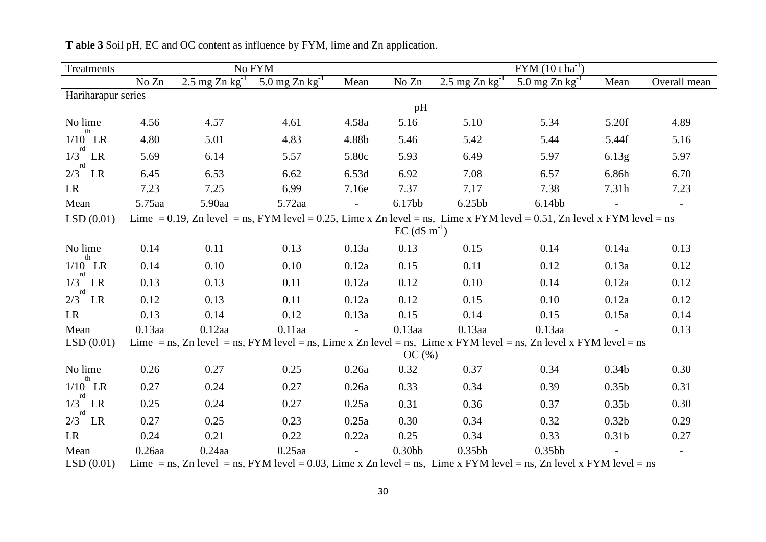| Treatments             |                                                                                                                        |                     | No FYM                                                                                                             |              | $FYM (10 t ha^{-1})$       |                     |                     |                   |              |  |  |
|------------------------|------------------------------------------------------------------------------------------------------------------------|---------------------|--------------------------------------------------------------------------------------------------------------------|--------------|----------------------------|---------------------|---------------------|-------------------|--------------|--|--|
|                        | No Zn                                                                                                                  | 2.5 mg Zn $kg^{-1}$ | 5.0 mg Zn $kg^{-1}$                                                                                                | Mean         | No Zn                      | 2.5 mg Zn $kg^{-1}$ | 5.0 mg Zn $kg^{-1}$ | Mean              | Overall mean |  |  |
| Hariharapur series     |                                                                                                                        |                     |                                                                                                                    |              |                            |                     |                     |                   |              |  |  |
|                        |                                                                                                                        |                     |                                                                                                                    |              | pH                         |                     |                     |                   |              |  |  |
| No lime<br>th          | 4.56                                                                                                                   | 4.57                | 4.61                                                                                                               | 4.58a        | 5.16                       | 5.10                | 5.34                | 5.20f             | 4.89         |  |  |
| $1/10$ LR              | 4.80                                                                                                                   | 5.01                | 4.83                                                                                                               | 4.88b        | 5.46                       | 5.42                | 5.44                | 5.44f             | 5.16         |  |  |
| rd<br>1/3<br>LR        | 5.69                                                                                                                   | 6.14                | 5.57                                                                                                               | 5.80c        | 5.93                       | 6.49                | 5.97                | 6.13g             | 5.97         |  |  |
| rd<br>$2/3$ LR         | 6.45                                                                                                                   | 6.53                | 6.62                                                                                                               | 6.53d        | 6.92                       | 7.08                | 6.57                | 6.86h             | 6.70         |  |  |
| <b>LR</b>              | 7.23                                                                                                                   | 7.25                | 6.99                                                                                                               | 7.16e        | 7.37                       | 7.17                | 7.38                | 7.31h             | 7.23         |  |  |
| Mean                   | 5.75aa                                                                                                                 | 5.90aa              | 5.72aa                                                                                                             | $\equiv$     | 6.17bb                     | 6.25bb              | 6.14bb              |                   |              |  |  |
| LSD(0.01)              | Lime = 0.19, Zn level = ns, FYM level = 0.25, Lime x Zn level = ns, Lime x FYM level = 0.51, Zn level x FYM level = ns |                     |                                                                                                                    |              |                            |                     |                     |                   |              |  |  |
|                        |                                                                                                                        |                     |                                                                                                                    |              | $EC$ (dS m <sup>-1</sup> ) |                     |                     |                   |              |  |  |
| No lime                | 0.14                                                                                                                   | 0.11                | 0.13                                                                                                               | 0.13a        | 0.13                       | 0.15                | 0.14                | 0.14a             | 0.13         |  |  |
| th<br>$1/10$ LR        | 0.14                                                                                                                   | 0.10                | 0.10                                                                                                               | 0.12a        | 0.15                       | 0.11                | 0.12                | 0.13a             | 0.12         |  |  |
| rd<br>$1/3$ LR         | 0.13                                                                                                                   | 0.13                | 0.11                                                                                                               | 0.12a        | 0.12                       | 0.10                | 0.14                | 0.12a             | 0.12         |  |  |
| $2/3$ <sup>rd</sup> LR | 0.12                                                                                                                   | 0.13                | 0.11                                                                                                               | 0.12a        | 0.12                       | 0.15                | 0.10                | 0.12a             | 0.12         |  |  |
| <b>LR</b>              | 0.13                                                                                                                   | 0.14                | 0.12                                                                                                               | 0.13a        | 0.15                       | 0.14                | 0.15                | 0.15a             | 0.14         |  |  |
| Mean                   | $0.13$ aa                                                                                                              | $0.12$ aa           | $0.11$ aa                                                                                                          |              | $0.13$ aa                  | $0.13$ aa           | $0.13$ aa           |                   | 0.13         |  |  |
| LSD(0.01)              |                                                                                                                        |                     | Lime = ns, Zn level = ns, FYM level = ns, Lime x Zn level = ns, Lime x FYM level = ns, Zn level x FYM level = ns   |              |                            |                     |                     |                   |              |  |  |
|                        |                                                                                                                        |                     |                                                                                                                    |              | OC(%)                      |                     |                     |                   |              |  |  |
| No lime<br>th          | 0.26                                                                                                                   | 0.27                | 0.25                                                                                                               | 0.26a        | 0.32                       | 0.37                | 0.34                | 0.34 <sub>b</sub> | 0.30         |  |  |
| $1/10$ LR<br>rd        | 0.27                                                                                                                   | 0.24                | 0.27                                                                                                               | 0.26a        | 0.33                       | 0.34                | 0.39                | 0.35 <sub>b</sub> | 0.31         |  |  |
| $1/3$ LR               | 0.25                                                                                                                   | 0.24                | 0.27                                                                                                               | 0.25a        | 0.31                       | 0.36                | 0.37                | 0.35 <sub>b</sub> | 0.30         |  |  |
| $2/3$ <sup>rd</sup> LR | 0.27                                                                                                                   | 0.25                | 0.23                                                                                                               | 0.25a        | 0.30                       | 0.34                | 0.32                | 0.32 <sub>b</sub> | 0.29         |  |  |
| <b>LR</b>              | 0.24                                                                                                                   | 0.21                | 0.22                                                                                                               | 0.22a        | 0.25                       | 0.34                | 0.33                | 0.31 <sub>b</sub> | 0.27         |  |  |
| Mean                   | $0.26$ aa                                                                                                              | $0.24$ aa           | $0.25$ aa                                                                                                          | $\mathbf{r}$ | 0.30 <sub>bb</sub>         | 0.35bbb             | 0.35bb              |                   |              |  |  |
| LSD(0.01)              |                                                                                                                        |                     | Lime = ns, Zn level = ns, FYM level = 0.03, Lime x Zn level = ns, Lime x FYM level = ns, Zn level x FYM level = ns |              |                            |                     |                     |                   |              |  |  |

**T able 3** Soil pH, EC and OC content as influence by FYM, lime and Zn application.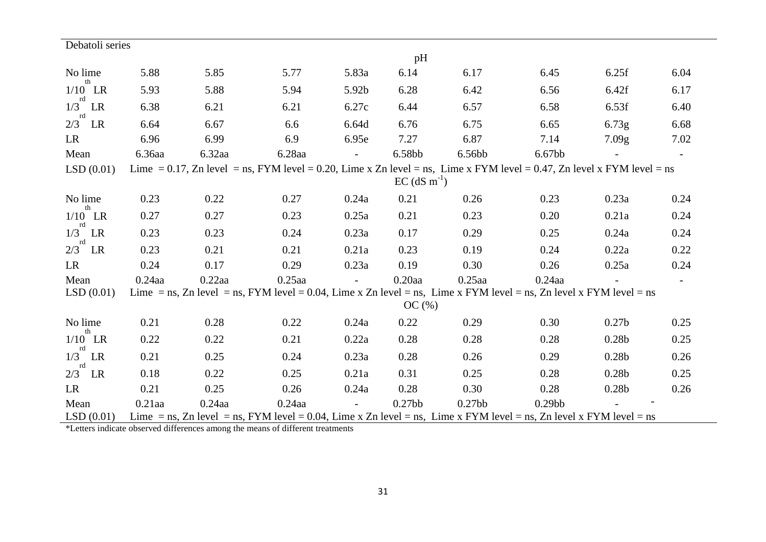| Debatoli series       |                                                                                                                                                      |           |           |                |                    |                                                                                                                    |                    |                   |                          |  |  |  |
|-----------------------|------------------------------------------------------------------------------------------------------------------------------------------------------|-----------|-----------|----------------|--------------------|--------------------------------------------------------------------------------------------------------------------|--------------------|-------------------|--------------------------|--|--|--|
|                       |                                                                                                                                                      |           |           |                | pH                 |                                                                                                                    |                    |                   |                          |  |  |  |
| No lime<br>th         | 5.88                                                                                                                                                 | 5.85      | 5.77      | 5.83a          | 6.14               | 6.17                                                                                                               | 6.45               | 6.25f             | 6.04                     |  |  |  |
| $1/10$ LR<br>rd       | 5.93                                                                                                                                                 | 5.88      | 5.94      | 5.92b          | 6.28               | 6.42                                                                                                               | 6.56               | 6.42f             | 6.17                     |  |  |  |
| $1/3$ LR<br>rd        | 6.38                                                                                                                                                 | 6.21      | 6.21      | 6.27c          | 6.44               | 6.57                                                                                                               | 6.58               | 6.53f             | 6.40                     |  |  |  |
| $2/3$ LR              | 6.64                                                                                                                                                 | 6.67      | 6.6       | 6.64d          | 6.76               | 6.75                                                                                                               | 6.65               | 6.73g             | 6.68                     |  |  |  |
| <b>LR</b>             | 6.96                                                                                                                                                 | 6.99      | 6.9       | 6.95e          | 7.27               | 6.87                                                                                                               | 7.14               | 7.09g             | 7.02                     |  |  |  |
| Mean                  | 6.36aa                                                                                                                                               | $6.32$ aa | 6.28aa    | $\Box$         | 6.58bb             | 6.56bb                                                                                                             | 6.67bb             |                   | $\overline{\phantom{a}}$ |  |  |  |
| LSD(0.01)             | Lime = 0.17, Zn level = ns, FYM level = 0.20, Lime x Zn level = ns, Lime x FYM level = 0.47, Zn level x FYM level = ns<br>$EC$ (dS m <sup>-1</sup> ) |           |           |                |                    |                                                                                                                    |                    |                   |                          |  |  |  |
| No lime               | 0.23                                                                                                                                                 | 0.22      | 0.27      | 0.24a          | 0.21               | 0.26                                                                                                               | 0.23               | 0.23a             | 0.24                     |  |  |  |
| th<br>$1/10$ LR       | 0.27                                                                                                                                                 | 0.27      | 0.23      | 0.25a          | 0.21               | 0.23                                                                                                               | 0.20               | 0.21a             | 0.24                     |  |  |  |
| rd<br>1/3<br>LR<br>rd | 0.23                                                                                                                                                 | 0.23      | 0.24      | 0.23a          | 0.17               | 0.29                                                                                                               | 0.25               | 0.24a             | 0.24                     |  |  |  |
| $2/3$ LR              | 0.23                                                                                                                                                 | 0.21      | 0.21      | 0.21a          | 0.23               | 0.19                                                                                                               | 0.24               | 0.22a             | 0.22                     |  |  |  |
| <b>LR</b>             | 0.24                                                                                                                                                 | 0.17      | 0.29      | 0.23a          | 0.19               | 0.30                                                                                                               | 0.26               | 0.25a             | 0.24                     |  |  |  |
| Mean                  | $0.24$ aa                                                                                                                                            | $0.22$ aa | $0.25$ aa | $\sim$         | $0.20$ aa          | $0.25$ aa                                                                                                          | $0.24$ aa          |                   | $\overline{\phantom{0}}$ |  |  |  |
| LSD(0.01)             |                                                                                                                                                      |           |           |                |                    | Lime = ns, Zn level = ns, FYM level = 0.04, Lime x Zn level = ns, Lime x FYM level = ns, Zn level x FYM level = ns |                    |                   |                          |  |  |  |
|                       |                                                                                                                                                      |           |           |                | OC(%)              |                                                                                                                    |                    |                   |                          |  |  |  |
| No lime<br>th         | 0.21                                                                                                                                                 | 0.28      | 0.22      | 0.24a          | 0.22               | 0.29                                                                                                               | 0.30               | 0.27 <sub>b</sub> | 0.25                     |  |  |  |
| $1/10$ LR<br>rd       | 0.22                                                                                                                                                 | 0.22      | 0.21      | 0.22a          | 0.28               | 0.28                                                                                                               | 0.28               | 0.28 <sub>b</sub> | 0.25                     |  |  |  |
| 1/3<br>LR             | 0.21                                                                                                                                                 | 0.25      | 0.24      | 0.23a          | 0.28               | 0.26                                                                                                               | 0.29               | 0.28 <sub>b</sub> | 0.26                     |  |  |  |
| rd<br>$2/3$ LR        | 0.18                                                                                                                                                 | 0.22      | 0.25      | 0.21a          | 0.31               | 0.25                                                                                                               | 0.28               | 0.28 <sub>b</sub> | 0.25                     |  |  |  |
| LR                    | 0.21                                                                                                                                                 | 0.25      | 0.26      | 0.24a          | 0.28               | 0.30                                                                                                               | 0.28               | 0.28 <sub>b</sub> | 0.26                     |  |  |  |
| Mean                  | $0.21$ aa                                                                                                                                            | $0.24$ aa | $0.24$ aa | $\overline{a}$ | 0.27 <sub>bb</sub> | 0.27bb                                                                                                             | 0.29 <sub>bb</sub> |                   |                          |  |  |  |
| LSD(0.01)             |                                                                                                                                                      |           |           |                |                    | Lime = ns, Zn level = ns, FYM level = 0.04, Lime x Zn level = ns, Lime x FYM level = ns, Zn level x FYM level = ns |                    |                   |                          |  |  |  |

\*Letters indicate observed differences among the means of different treatments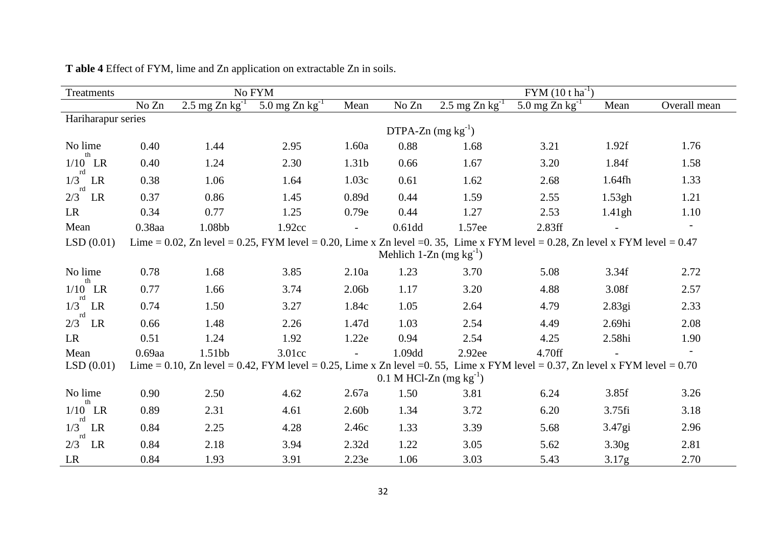| Treatments            |                                                                                                                              |                            | No FYM                                                                                                                       |       |                        | $FYM (10 t ha^{-1})$        |                              |        |              |  |  |
|-----------------------|------------------------------------------------------------------------------------------------------------------------------|----------------------------|------------------------------------------------------------------------------------------------------------------------------|-------|------------------------|-----------------------------|------------------------------|--------|--------------|--|--|
|                       | No Zn                                                                                                                        | 2.5 mg Zn $\text{kg}^{-1}$ | 5.0 mg Zn $kg^{-1}$                                                                                                          | Mean  | No Zn                  | $2.5 \text{ mg Zn kg}^{-1}$ | 5.0 mg $Zn$ kg <sup>-1</sup> | Mean   | Overall mean |  |  |
| Hariharapur series    |                                                                                                                              |                            |                                                                                                                              |       |                        |                             |                              |        |              |  |  |
|                       |                                                                                                                              |                            |                                                                                                                              |       | DTPA-Zn $(mg kg^{-1})$ |                             |                              |        |              |  |  |
| No lime<br>th         | 0.40                                                                                                                         | 1.44                       | 2.95                                                                                                                         | 1.60a | 0.88                   | 1.68                        | 3.21                         | 1.92f  | 1.76         |  |  |
| $1/10$ LR<br>rd       | 0.40                                                                                                                         | 1.24                       | 2.30                                                                                                                         | 1.31b | 0.66                   | 1.67                        | 3.20                         | 1.84f  | 1.58         |  |  |
| 1/3<br>LR<br>rd       | 0.38                                                                                                                         | 1.06                       | 1.64                                                                                                                         | 1.03c | 0.61                   | 1.62                        | 2.68                         | 1.64fh | 1.33         |  |  |
| 2/3<br>LR             | 0.37                                                                                                                         | 0.86                       | 1.45                                                                                                                         | 0.89d | 0.44                   | 1.59                        | 2.55                         | 1.53gh | 1.21         |  |  |
| LR                    | 0.34                                                                                                                         | 0.77                       | 1.25                                                                                                                         | 0.79e | 0.44                   | 1.27                        | 2.53                         | 1.41gh | 1.10         |  |  |
| Mean                  | 0.38aa                                                                                                                       | 1.08bb                     | 1.92cc                                                                                                                       |       | $0.61$ dd              | 1.57ee                      | 2.83ff                       |        |              |  |  |
| LSD(0.01)             | Lime = 0.02, Zn level = 0.25, FYM level = 0.20, Lime x Zn level = 0.35, Lime x FYM level = 0.28, Zn level x FYM level = 0.47 |                            |                                                                                                                              |       |                        |                             |                              |        |              |  |  |
|                       |                                                                                                                              |                            |                                                                                                                              |       |                        | Mehlich 1-Zn $(mg kg^{-1})$ |                              |        |              |  |  |
| No lime               | 0.78                                                                                                                         | 1.68                       | 3.85                                                                                                                         | 2.10a | 1.23                   | 3.70                        | 5.08                         | 3.34f  | 2.72         |  |  |
| th<br>$1/10$ LR<br>rd | 0.77                                                                                                                         | 1.66                       | 3.74                                                                                                                         | 2.06b | 1.17                   | 3.20                        | 4.88                         | 3.08f  | 2.57         |  |  |
| $1/3$ LR<br>rd        | 0.74                                                                                                                         | 1.50                       | 3.27                                                                                                                         | 1.84c | 1.05                   | 2.64                        | 4.79                         | 2.83gi | 2.33         |  |  |
| 2/3<br>LR             | 0.66                                                                                                                         | 1.48                       | 2.26                                                                                                                         | 1.47d | 1.03                   | 2.54                        | 4.49                         | 2.69hi | 2.08         |  |  |
| LR                    | 0.51                                                                                                                         | 1.24                       | 1.92                                                                                                                         | 1.22e | 0.94                   | 2.54                        | 4.25                         | 2.58hi | 1.90         |  |  |
| Mean                  | $0.69$ aa                                                                                                                    | 1.51bb                     | 3.01cc                                                                                                                       |       | 1.09dd                 | 2.92ee                      | 4.70ff                       |        |              |  |  |
| LSD(0.01)             |                                                                                                                              |                            | Lime = 0.10, Zn level = 0.42, FYM level = 0.25, Lime x Zn level = 0.55, Lime x FYM level = 0.37, Zn level x FYM level = 0.70 |       |                        |                             |                              |        |              |  |  |
|                       |                                                                                                                              |                            |                                                                                                                              |       |                        | 0.1 M HCl-Zn $(mg kg^{-1})$ |                              |        |              |  |  |
| No lime               | 0.90                                                                                                                         | 2.50                       | 4.62                                                                                                                         | 2.67a | 1.50                   | 3.81                        | 6.24                         | 3.85f  | 3.26         |  |  |
| th<br>$1/10$ LR<br>rd | 0.89                                                                                                                         | 2.31                       | 4.61                                                                                                                         | 2.60b | 1.34                   | 3.72                        | 6.20                         | 3.75fi | 3.18         |  |  |
| 1/3<br>LR             | 0.84                                                                                                                         | 2.25                       | 4.28                                                                                                                         | 2.46c | 1.33                   | 3.39                        | 5.68                         | 3.47gi | 2.96         |  |  |
| rd<br>2/3<br>LR       | 0.84                                                                                                                         | 2.18                       | 3.94                                                                                                                         | 2.32d | 1.22                   | 3.05                        | 5.62                         | 3.30g  | 2.81         |  |  |
| LR                    | 0.84                                                                                                                         | 1.93                       | 3.91                                                                                                                         | 2.23e | 1.06                   | 3.03                        | 5.43                         | 3.17g  | 2.70         |  |  |

**T able 4** Effect of FYM, lime and Zn application on extractable Zn in soils.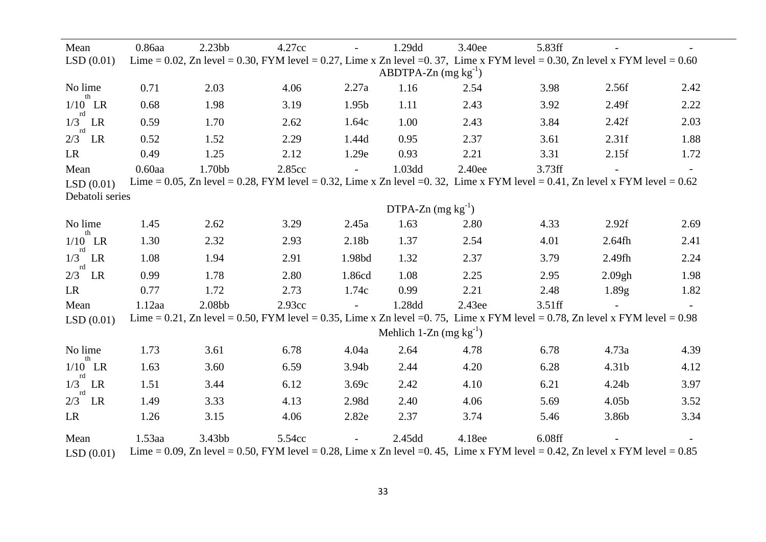| Mean            | 0.86aa    | 2.23 <sub>bb</sub> | 4.27cc |                   | 1.29dd                      | 3.40ee | 5.83ff                                                                                                                       |                   |      |
|-----------------|-----------|--------------------|--------|-------------------|-----------------------------|--------|------------------------------------------------------------------------------------------------------------------------------|-------------------|------|
| LSD(0.01)       |           |                    |        |                   |                             |        | Lime = 0.02, Zn level = 0.30, FYM level = 0.27, Lime x Zn level = 0.37, Lime x FYM level = 0.30, Zn level x FYM level = 0.60 |                   |      |
|                 |           |                    |        |                   | ABDTPA-Zn $(mg kg^{-1})$    |        |                                                                                                                              |                   |      |
| No lime<br>th   | 0.71      | 2.03               | 4.06   | 2.27a             | 1.16                        | 2.54   | 3.98                                                                                                                         | 2.56f             | 2.42 |
| $1/10$ LR       | 0.68      | 1.98               | 3.19   | 1.95 <sub>b</sub> | 1.11                        | 2.43   | 3.92                                                                                                                         | 2.49f             | 2.22 |
| rd<br>$1/3$ LR  | 0.59      | 1.70               | 2.62   | 1.64c             | 1.00                        | 2.43   | 3.84                                                                                                                         | 2.42f             | 2.03 |
| rd<br>$2/3$ LR  | 0.52      | 1.52               | 2.29   | 1.44d             | 0.95                        | 2.37   | 3.61                                                                                                                         | 2.31f             | 1.88 |
| LR              | 0.49      | 1.25               | 2.12   | 1.29e             | 0.93                        | 2.21   | 3.31                                                                                                                         | 2.15f             | 1.72 |
| Mean            | $0.60$ aa | 1.70bb             | 2.85cc | $\sim$            | 1.03dd                      | 2.40ee | 3.73ff                                                                                                                       |                   |      |
| LSD(0.01)       |           |                    |        |                   |                             |        | Lime = 0.05, Zn level = 0.28, FYM level = 0.32, Lime x Zn level = 0.32, Lime x FYM level = 0.41, Zn level x FYM level = 0.62 |                   |      |
| Debatoli series |           |                    |        |                   |                             |        |                                                                                                                              |                   |      |
|                 |           |                    |        |                   | DTPA-Zn $(mg kg^{-1})$      |        |                                                                                                                              |                   |      |
| No lime<br>th   | 1.45      | 2.62               | 3.29   | 2.45a             | 1.63                        | 2.80   | 4.33                                                                                                                         | 2.92f             | 2.69 |
| $1/10$ LR       | 1.30      | 2.32               | 2.93   | 2.18b             | 1.37                        | 2.54   | 4.01                                                                                                                         | $2.64$ fh         | 2.41 |
| rd<br>$1/3$ LR  | 1.08      | 1.94               | 2.91   | 1.98bd            | 1.32                        | 2.37   | 3.79                                                                                                                         | 2.49fh            | 2.24 |
| rd<br>$2/3$ LR  | 0.99      | 1.78               | 2.80   | 1.86cd            | 1.08                        | 2.25   | 2.95                                                                                                                         | 2.09gh            | 1.98 |
| LR              | 0.77      | 1.72               | 2.73   | 1.74c             | 0.99                        | 2.21   | 2.48                                                                                                                         | 1.89g             | 1.82 |
| Mean            | $1.12$ aa | 2.08bb             | 2.93cc | $\sim$            | 1.28dd                      | 2.43ee | 3.51ff                                                                                                                       |                   |      |
| LSD(0.01)       |           |                    |        |                   |                             |        | Lime = 0.21, Zn level = 0.50, FYM level = 0.35, Lime x Zn level = 0.75, Lime x FYM level = 0.78, Zn level x FYM level = 0.98 |                   |      |
|                 |           |                    |        |                   | Mehlich 1-Zn $(mg kg^{-1})$ |        |                                                                                                                              |                   |      |
| No lime         | 1.73      | 3.61               | 6.78   | 4.04a             | 2.64                        | 4.78   | 6.78                                                                                                                         | 4.73a             | 4.39 |
| th<br>$1/10$ LR | 1.63      | 3.60               | 6.59   | 3.94b             | 2.44                        | 4.20   | 6.28                                                                                                                         | 4.31b             | 4.12 |
| rd<br>$1/3$ LR  | 1.51      | 3.44               | 6.12   | 3.69c             | 2.42                        | 4.10   | 6.21                                                                                                                         | 4.24b             | 3.97 |
| rd<br>$2/3$ LR  | 1.49      | 3.33               | 4.13   | 2.98d             | 2.40                        | 4.06   | 5.69                                                                                                                         | 4.05 <sub>b</sub> | 3.52 |
| LR              | 1.26      | 3.15               | 4.06   | 2.82e             | 2.37                        | 3.74   | 5.46                                                                                                                         | 3.86b             | 3.34 |
| Mean            | $1.53$ aa | 3.43bb             | 5.54cc |                   | 2.45dd                      | 4.18ee | 6.08ff                                                                                                                       |                   |      |
| LSD(0.01)       |           |                    |        |                   |                             |        | Lime = 0.09, Zn level = 0.50, FYM level = 0.28, Lime x Zn level = 0.45, Lime x FYM level = 0.42, Zn level x FYM level = 0.85 |                   |      |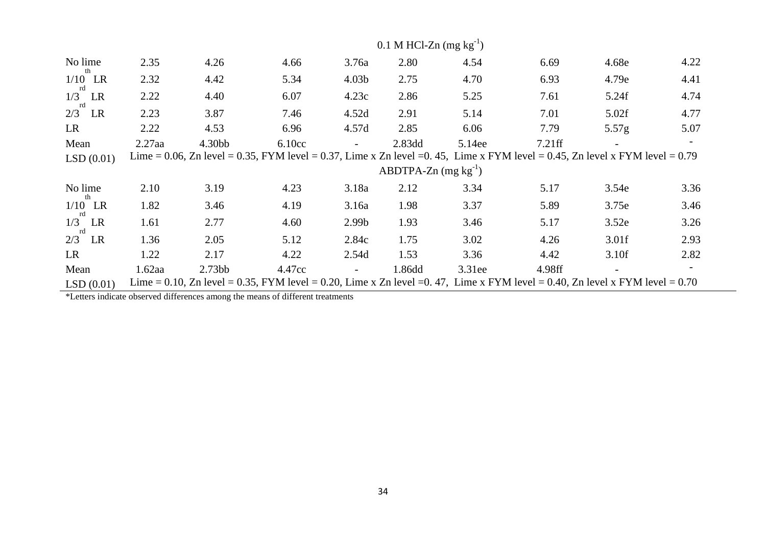|                        |           |                    |                                                                                                                              |                   | 0.1 M HCl-Zn $(mg kg^{-1})$ |        |        |                   |      |
|------------------------|-----------|--------------------|------------------------------------------------------------------------------------------------------------------------------|-------------------|-----------------------------|--------|--------|-------------------|------|
| No lime                | 2.35      | 4.26               | 4.66                                                                                                                         | 3.76a             | 2.80                        | 4.54   | 6.69   | 4.68e             | 4.22 |
| th<br>$1/10$ LR        | 2.32      | 4.42               | 5.34                                                                                                                         | 4.03 <sub>b</sub> | 2.75                        | 4.70   | 6.93   | 4.79e             | 4.41 |
| rd<br>$1/3$ LR         | 2.22      | 4.40               | 6.07                                                                                                                         | 4.23c             | 2.86                        | 5.25   | 7.61   | 5.24f             | 4.74 |
| rd<br>$2/3$ LR         | 2.23      | 3.87               | 7.46                                                                                                                         | 4.52d             | 2.91                        | 5.14   | 7.01   | 5.02f             | 4.77 |
| <b>LR</b>              | 2.22      | 4.53               | 6.96                                                                                                                         | 4.57d             | 2.85                        | 6.06   | 7.79   | 5.57 <sub>g</sub> | 5.07 |
| Mean                   | $2.27$ aa | 4.30bb             | 6.10cc                                                                                                                       |                   | 2.83dd                      | 5.14ee | 7.21ff |                   |      |
| LSD(0.01)              |           |                    | Lime = 0.06, Zn level = 0.35, FYM level = 0.37, Lime x Zn level = 0.45, Lime x FYM level = 0.45, Zn level x FYM level = 0.79 |                   |                             |        |        |                   |      |
|                        |           |                    |                                                                                                                              |                   | ABDTPA-Zn $(mg kg^{-1})$    |        |        |                   |      |
| No lime                | 2.10      | 3.19               | 4.23                                                                                                                         | 3.18a             | 2.12                        | 3.34   | 5.17   | 3.54e             | 3.36 |
| $1/10$ LR              | 1.82      | 3.46               | 4.19                                                                                                                         | 3.16a             | 1.98                        | 3.37   | 5.89   | 3.75e             | 3.46 |
| $1/3$ LR               | 1.61      | 2.77               | 4.60                                                                                                                         | 2.99 <sub>b</sub> | 1.93                        | 3.46   | 5.17   | 3.52e             | 3.26 |
| $2/3$ <sup>rd</sup> LR | 1.36      | 2.05               | 5.12                                                                                                                         | 2.84c             | 1.75                        | 3.02   | 4.26   | 3.01f             | 2.93 |
| LR                     | 1.22      | 2.17               | 4.22                                                                                                                         | 2.54d             | 1.53                        | 3.36   | 4.42   | 3.10f             | 2.82 |
| Mean                   | $1.62$ aa | 2.73 <sub>bb</sub> | 4.47cc                                                                                                                       |                   | 1.86dd                      | 3.31ee | 4.98ff |                   |      |
| LSD(0.01)              |           |                    | Lime = 0.10, Zn level = 0.35, FYM level = 0.20, Lime x Zn level = 0.47, Lime x FYM level = 0.40, Zn level x FYM level = 0.70 |                   |                             |        |        |                   |      |

\*Letters indicate observed differences among the means of different treatments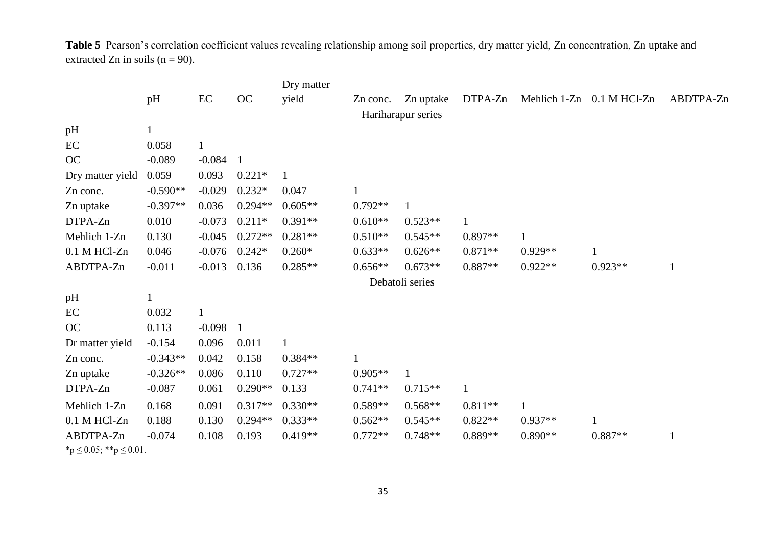|                  |              |              |                | Dry matter   |              |                    |              |              |                |              |
|------------------|--------------|--------------|----------------|--------------|--------------|--------------------|--------------|--------------|----------------|--------------|
|                  | pH           | $\rm EC$     | OC             | yield        | Zn conc.     | Zn uptake          | DTPA-Zn      | Mehlich 1-Zn | $0.1$ M HCl-Zn | ABDTPA-Zn    |
|                  |              |              |                |              |              | Hariharapur series |              |              |                |              |
| pH               | $\mathbf{1}$ |              |                |              |              |                    |              |              |                |              |
| EC               | 0.058        | $\mathbf{1}$ |                |              |              |                    |              |              |                |              |
| OC               | $-0.089$     | $-0.084$     | $\mathbf{1}$   |              |              |                    |              |              |                |              |
| Dry matter yield | 0.059        | 0.093        | $0.221*$       | $\mathbf{1}$ |              |                    |              |              |                |              |
| Zn conc.         | $-0.590**$   | $-0.029$     | $0.232*$       | 0.047        |              |                    |              |              |                |              |
| Zn uptake        | $-0.397**$   | 0.036        | $0.294**$      | $0.605**$    | $0.792**$    | $\mathbf{1}$       |              |              |                |              |
| DTPA-Zn          | 0.010        | $-0.073$     | $0.211*$       | $0.391**$    | $0.610**$    | $0.523**$          | $\mathbf{1}$ |              |                |              |
| Mehlich 1-Zn     | 0.130        | $-0.045$     | $0.272**$      | $0.281**$    | $0.510**$    | $0.545**$          | $0.897**$    | $\mathbf{1}$ |                |              |
| 0.1 M HCl-Zn     | 0.046        | $-0.076$     | $0.242*$       | $0.260*$     | $0.633**$    | $0.626**$          | $0.871**$    | $0.929**$    | $\mathbf{1}$   |              |
| ABDTPA-Zn        | $-0.011$     | $-0.013$     | 0.136          | $0.285**$    | $0.656**$    | $0.673**$          | $0.887**$    | $0.922**$    | $0.923**$      | $\mathbf{1}$ |
|                  |              |              |                |              |              | Debatoli series    |              |              |                |              |
| pH               |              |              |                |              |              |                    |              |              |                |              |
| EC               | 0.032        | $\mathbf{1}$ |                |              |              |                    |              |              |                |              |
| OC               | 0.113        | $-0.098$     | $\overline{1}$ |              |              |                    |              |              |                |              |
| Dr matter yield  | $-0.154$     | 0.096        | 0.011          | $\mathbf{1}$ |              |                    |              |              |                |              |
| Zn conc.         | $-0.343**$   | 0.042        | 0.158          | $0.384**$    | $\mathbf{1}$ |                    |              |              |                |              |
| Zn uptake        | $-0.326**$   | 0.086        | 0.110          | $0.727**$    | $0.905**$    | $\mathbf{1}$       |              |              |                |              |
| DTPA-Zn          | $-0.087$     | 0.061        | $0.290**$      | 0.133        | $0.741**$    | $0.715**$          | $\mathbf{1}$ |              |                |              |
| Mehlich 1-Zn     | 0.168        | 0.091        | $0.317**$      | $0.330**$    | $0.589**$    | $0.568**$          | $0.811**$    | $\mathbf{1}$ |                |              |
| 0.1 M HCl-Zn     | 0.188        | 0.130        | $0.294**$      | $0.333**$    | $0.562**$    | $0.545**$          | $0.822**$    | $0.937**$    | $\mathbf{1}$   |              |
| ABDTPA-Zn        | $-0.074$     | 0.108        | 0.193          | $0.419**$    | $0.772**$    | $0.748**$          | $0.889**$    | $0.890**$    | $0.887**$      | $\mathbf{1}$ |

**Table 5** Pearson's correlation coefficient values revealing relationship among soil properties, dry matter yield, Zn concentration, Zn uptake and extracted Zn in soils ( $n = 90$ ).

 $\mathbf{\hat{p}} \leq 0.05; \mathbf{\hat{p}} \leq 0.01.$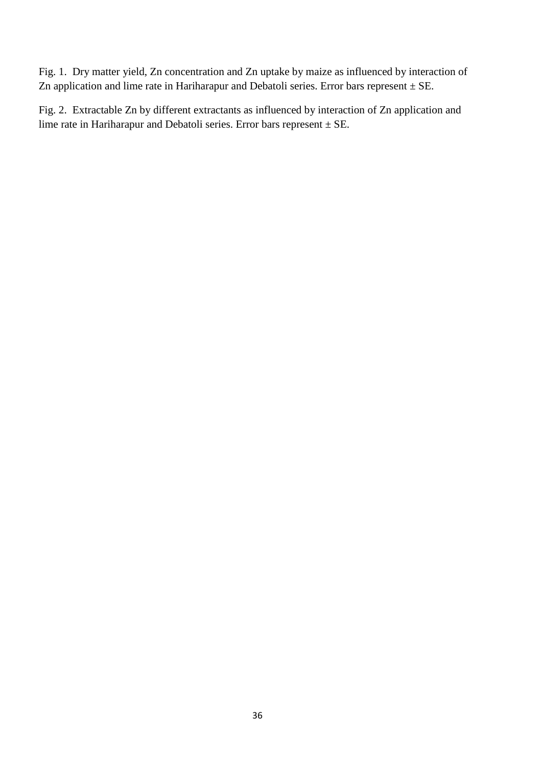Fig. 1. Dry matter yield, Zn concentration and Zn uptake by maize as influenced by interaction of Zn application and lime rate in Hariharapur and Debatoli series. Error bars represent  $\pm$  SE.

Fig. 2. Extractable Zn by different extractants as influenced by interaction of Zn application and lime rate in Hariharapur and Debatoli series. Error bars represent  $\pm$  SE.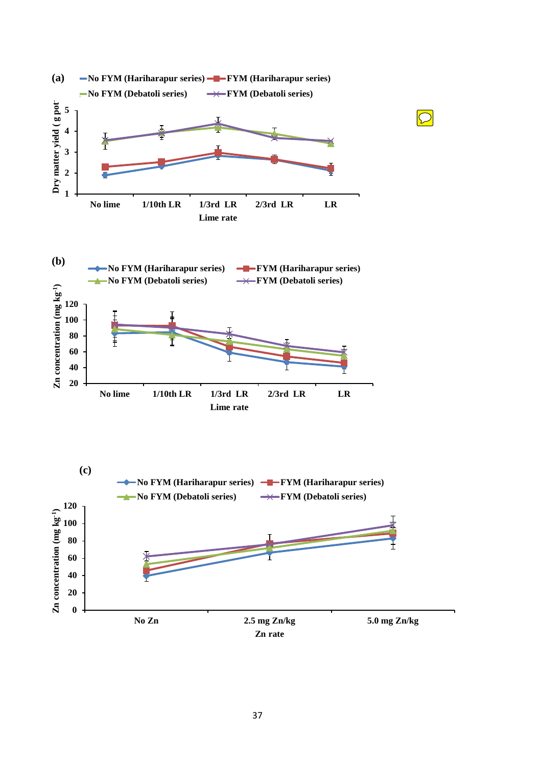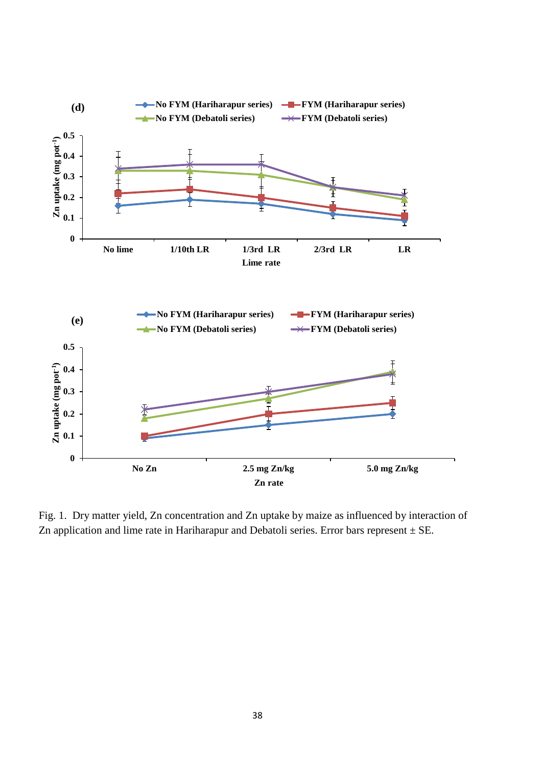

Fig. 1. Dry matter yield, Zn concentration and Zn uptake by maize as influenced by interaction of Zn application and lime rate in Hariharapur and Debatoli series. Error bars represent  $\pm$  SE.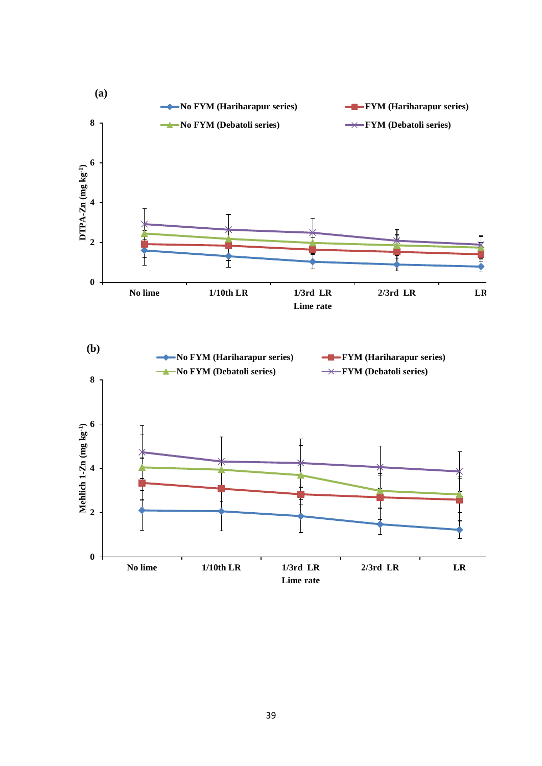